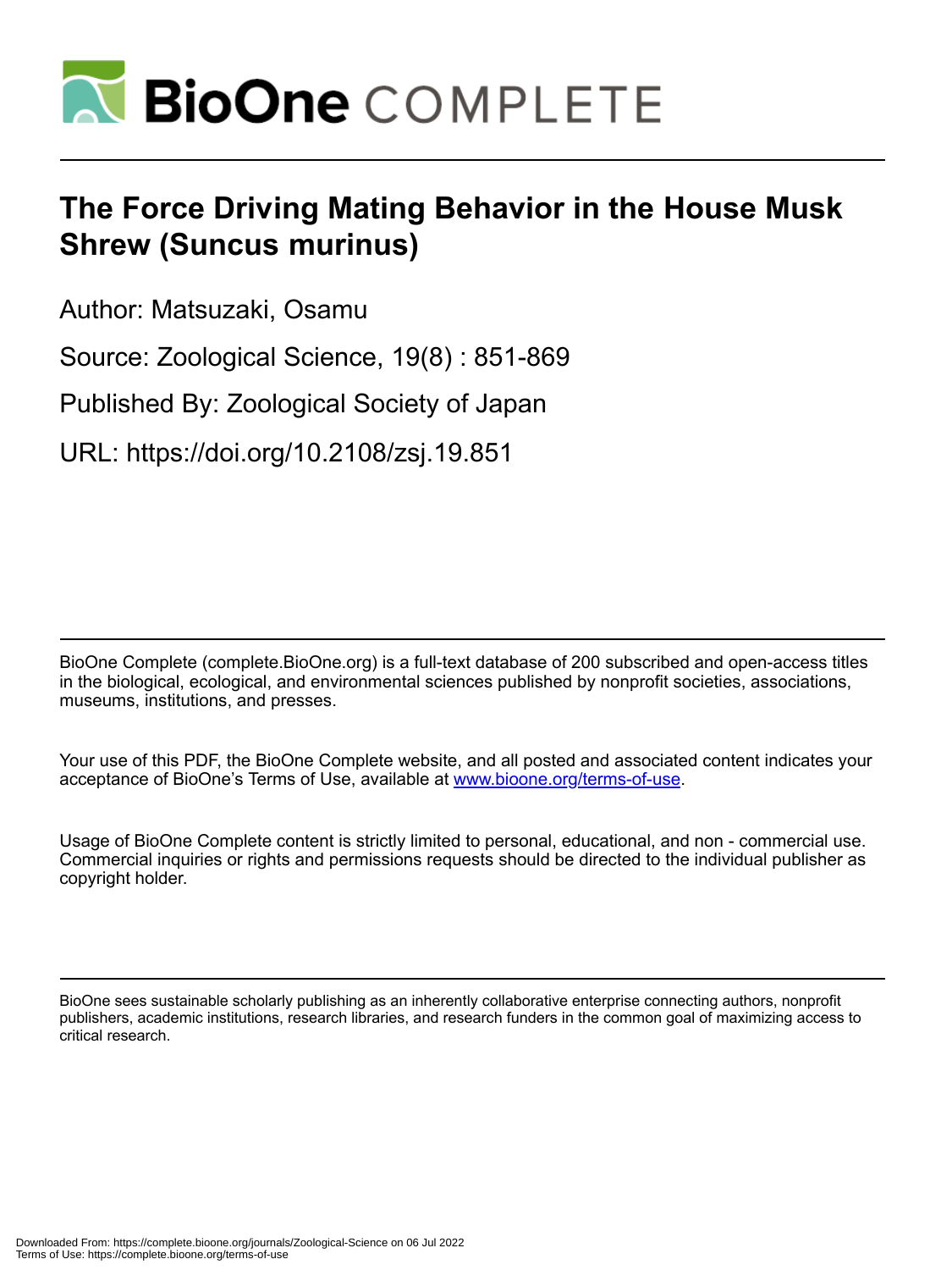

# **The Force Driving Mating Behavior in the House Musk Shrew (Suncus murinus)**

Author: Matsuzaki, Osamu

Source: Zoological Science, 19(8) : 851-869

Published By: Zoological Society of Japan

URL: https://doi.org/10.2108/zsj.19.851

BioOne Complete (complete.BioOne.org) is a full-text database of 200 subscribed and open-access titles in the biological, ecological, and environmental sciences published by nonprofit societies, associations, museums, institutions, and presses.

Your use of this PDF, the BioOne Complete website, and all posted and associated content indicates your acceptance of BioOne's Terms of Use, available at www.bioone.org/terms-of-use.

Usage of BioOne Complete content is strictly limited to personal, educational, and non - commercial use. Commercial inquiries or rights and permissions requests should be directed to the individual publisher as copyright holder.

BioOne sees sustainable scholarly publishing as an inherently collaborative enterprise connecting authors, nonprofit publishers, academic institutions, research libraries, and research funders in the common goal of maximizing access to critical research.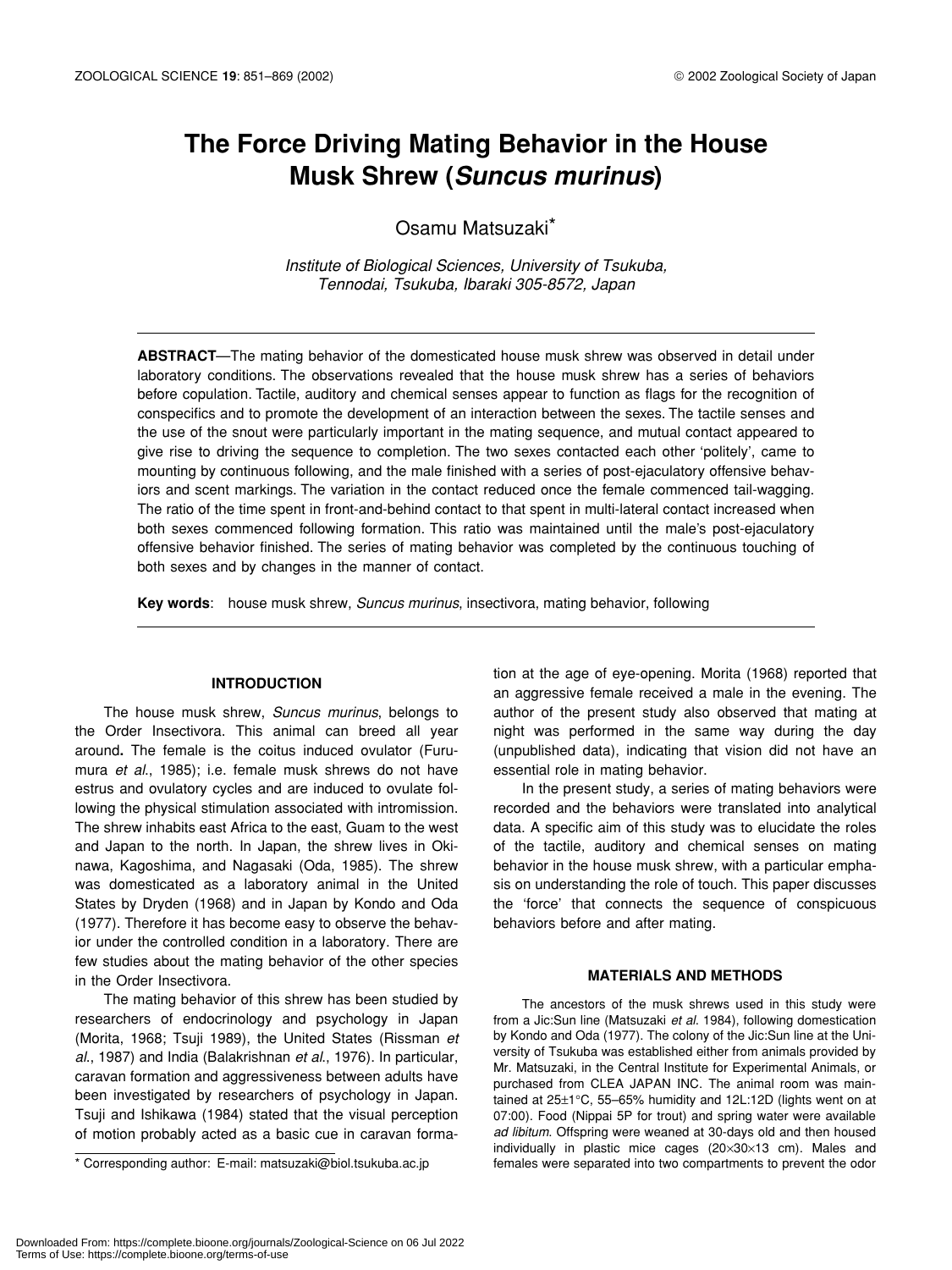# **The Force Driving Mating Behavior in the House Musk Shrew (***Suncus murinus***)**

Osamu Matsuzaki\*

*Institute of Biological Sciences, University of Tsukuba, Tennodai, Tsukuba, Ibaraki 305-8572, Japan*

**ABSTRACT**—The mating behavior of the domesticated house musk shrew was observed in detail under laboratory conditions. The observations revealed that the house musk shrew has a series of behaviors before copulation. Tactile, auditory and chemical senses appear to function as flags for the recognition of conspecifics and to promote the development of an interaction between the sexes. The tactile senses and the use of the snout were particularly important in the mating sequence, and mutual contact appeared to give rise to driving the sequence to completion. The two sexes contacted each other 'politely', came to mounting by continuous following, and the male finished with a series of post-ejaculatory offensive behaviors and scent markings. The variation in the contact reduced once the female commenced tail-wagging. The ratio of the time spent in front-and-behind contact to that spent in multi-lateral contact increased when both sexes commenced following formation. This ratio was maintained until the male's post-ejaculatory offensive behavior finished. The series of mating behavior was completed by the continuous touching of both sexes and by changes in the manner of contact.

**Key words**: house musk shrew, *Suncus murinus*, insectivora, mating behavior, following

## **INTRODUCTION**

The house musk shrew, *Suncus murinus*, belongs to the Order Insectivora. This animal can breed all year around**.** The female is the coitus induced ovulator (Furumura *et al*., 1985); i.e. female musk shrews do not have estrus and ovulatory cycles and are induced to ovulate following the physical stimulation associated with intromission. The shrew inhabits east Africa to the east, Guam to the west and Japan to the north. In Japan, the shrew lives in Okinawa, Kagoshima, and Nagasaki (Oda, 1985). The shrew was domesticated as a laboratory animal in the United States by Dryden (1968) and in Japan by Kondo and Oda (1977). Therefore it has become easy to observe the behavior under the controlled condition in a laboratory. There are few studies about the mating behavior of the other species in the Order Insectivora.

The mating behavior of this shrew has been studied by researchers of endocrinology and psychology in Japan (Morita, 1968; Tsuji 1989), the United States (Rissman *et al*., 1987) and India (Balakrishnan *et al*., 1976). In particular, caravan formation and aggressiveness between adults have been investigated by researchers of psychology in Japan. Tsuji and Ishikawa (1984) stated that the visual perception of motion probably acted as a basic cue in caravan formation at the age of eye-opening. Morita (1968) reported that an aggressive female received a male in the evening. The author of the present study also observed that mating at night was performed in the same way during the day (unpublished data), indicating that vision did not have an essential role in mating behavior.

In the present study, a series of mating behaviors were recorded and the behaviors were translated into analytical data. A specific aim of this study was to elucidate the roles of the tactile, auditory and chemical senses on mating behavior in the house musk shrew, with a particular emphasis on understanding the role of touch. This paper discusses the 'force' that connects the sequence of conspicuous behaviors before and after mating.

#### **MATERIALS AND METHODS**

The ancestors of the musk shrews used in this study were from a Jic:Sun line (Matsuzaki *et al*. 1984), following domestication by Kondo and Oda (1977). The colony of the Jic:Sun line at the University of Tsukuba was established either from animals provided by Mr. Matsuzaki, in the Central Institute for Experimental Animals, or purchased from CLEA JAPAN INC. The animal room was maintained at 25±1°C, 55–65% humidity and 12L:12D (lights went on at 07:00). Food (Nippai 5P for trout) and spring water were available *ad libitum*. Offspring were weaned at 30-days old and then housed individually in plastic mice cages (20×30×13 cm). Males and \* Corresponding author: E-mail: matsuzaki@biol.tsukuba.ac.jp females were separated into two compartments to prevent the odor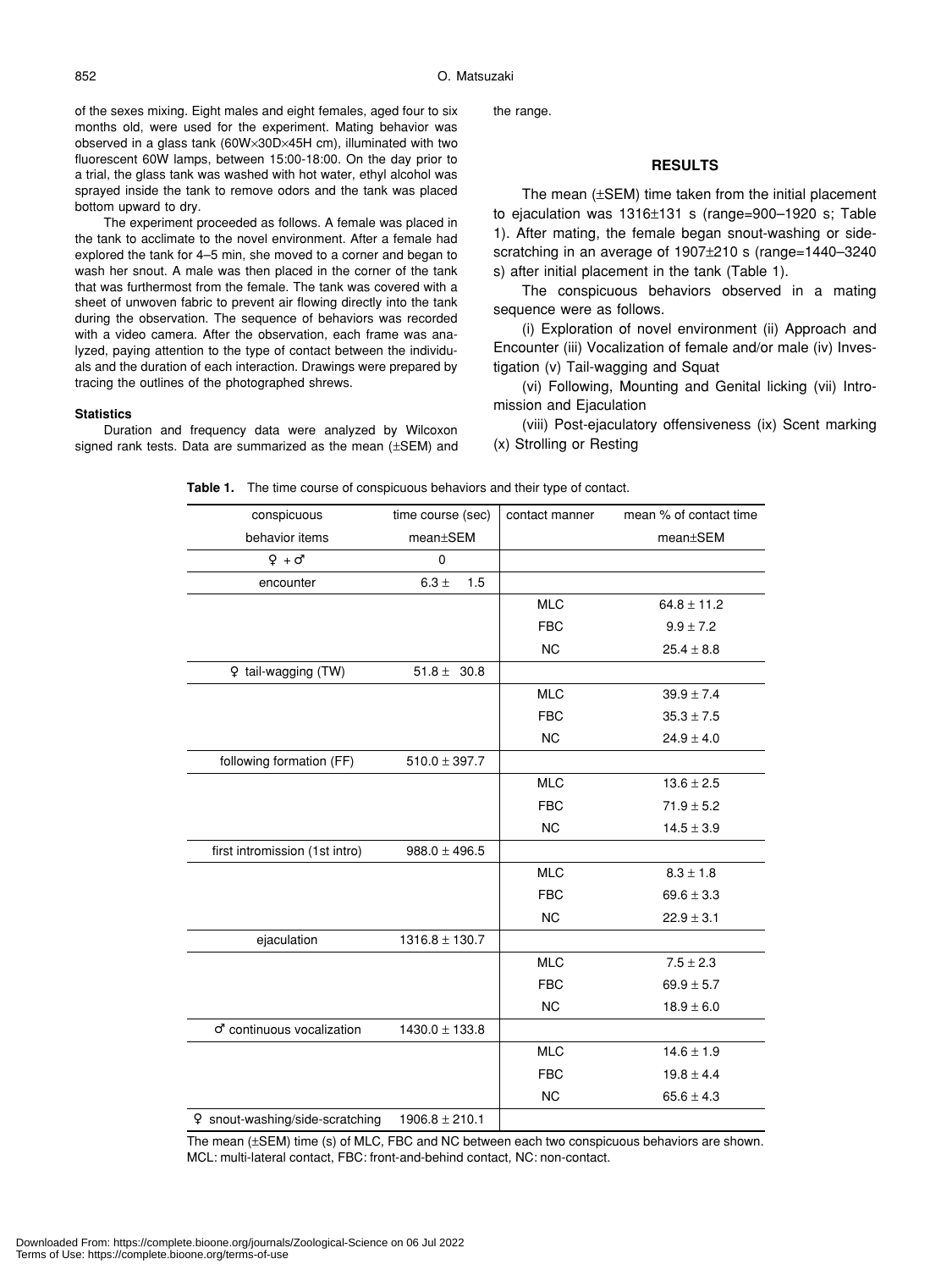#### 852 O. Matsuzaki

of the sexes mixing. Eight males and eight females, aged four to six months old, were used for the experiment. Mating behavior was observed in a glass tank (60W×30D×45H cm), illuminated with two fluorescent 60W lamps, between 15:00-18:00. On the day prior to a trial, the glass tank was washed with hot water, ethyl alcohol was sprayed inside the tank to remove odors and the tank was placed bottom upward to dry.

The experiment proceeded as follows. A female was placed in the tank to acclimate to the novel environment. After a female had explored the tank for 4–5 min, she moved to a corner and began to wash her snout. A male was then placed in the corner of the tank that was furthermost from the female. The tank was covered with a sheet of unwoven fabric to prevent air flowing directly into the tank during the observation. The sequence of behaviors was recorded with a video camera. After the observation, each frame was analyzed, paying attention to the type of contact between the individuals and the duration of each interaction. Drawings were prepared by tracing the outlines of the photographed shrews.

#### **Statistics**

Duration and frequency data were analyzed by Wilcoxon signed rank tests. Data are summarized as the mean (±SEM) and the range.

# **RESULTS**

The mean (±SEM) time taken from the initial placement to ejaculation was 1316±131 s (range=900–1920 s; Table 1). After mating, the female began snout-washing or sidescratching in an average of 1907±210 s (range=1440–3240 s) after initial placement in the tank (Table 1).

The conspicuous behaviors observed in a mating sequence were as follows.

(i) Exploration of novel environment (ii) Approach and Encounter (iii) Vocalization of female and/or male (iv) Investigation (v) Tail-wagging and Squat

(vi) Following, Mounting and Genital licking (vii) Intromission and Ejaculation

(viii) Post-ejaculatory offensiveness (ix) Scent marking (x) Strolling or Resting

| conspicuous                                                                                     | time course (sec)  | contact manner | mean % of contact time |
|-------------------------------------------------------------------------------------------------|--------------------|----------------|------------------------|
| behavior items                                                                                  | mean±SEM           |                | mean±SEM               |
| $\ddot{}$                                                                                       | 0                  |                |                        |
| encounter                                                                                       | $6.3 \pm$<br>1.5   |                |                        |
|                                                                                                 |                    | <b>MLC</b>     | $64.8 \pm 11.2$        |
|                                                                                                 |                    | <b>FBC</b>     | $9.9 \pm 7.2$          |
|                                                                                                 |                    | <b>NC</b>      | $25.4 \pm 8.8$         |
| tail-wagging (TW)                                                                               | $51.8 \pm 30.8$    |                |                        |
|                                                                                                 |                    | <b>MLC</b>     | $39.9 \pm 7.4$         |
|                                                                                                 |                    | <b>FBC</b>     | $35.3 \pm 7.5$         |
|                                                                                                 |                    | <b>NC</b>      | $24.9 \pm 4.0$         |
| following formation (FF)                                                                        | $510.0 \pm 397.7$  |                |                        |
|                                                                                                 |                    | <b>MLC</b>     | $13.6 \pm 2.5$         |
|                                                                                                 |                    | <b>FBC</b>     | $71.9 \pm 5.2$         |
|                                                                                                 |                    | <b>NC</b>      | $14.5 \pm 3.9$         |
| first intromission (1st intro)                                                                  | $988.0 \pm 496.5$  |                |                        |
|                                                                                                 |                    | <b>MLC</b>     | $8.3\pm1.8$            |
|                                                                                                 |                    | <b>FBC</b>     | $69.6 \pm 3.3$         |
|                                                                                                 |                    | <b>NC</b>      | $22.9 \pm 3.1$         |
| ejaculation                                                                                     | $1316.8 \pm 130.7$ |                |                        |
|                                                                                                 |                    | <b>MLC</b>     | $7.5 \pm 2.3$          |
|                                                                                                 |                    | <b>FBC</b>     | $69.9 \pm 5.7$         |
|                                                                                                 |                    | <b>NC</b>      | $18.9 \pm 6.0$         |
| continuous vocalization                                                                         | $1430.0 \pm 133.8$ |                |                        |
|                                                                                                 |                    | <b>MLC</b>     | $14.6 \pm 1.9$         |
|                                                                                                 |                    | <b>FBC</b>     | $19.8 \pm 4.4$         |
|                                                                                                 |                    | <b>NC</b>      | $65.6 \pm 4.3$         |
| snout-washing/side-scratching                                                                   | $1906.8 \pm 210.1$ |                |                        |
| The mean $(+$ SEM) time (c) of MLC. ERC and NC between each two conspicuous behaviors are shown |                    |                |                        |

**Table 1.** The time course of conspicuous behaviors and their type of contact.

The mean (±SEM) time (s) of MLC, FBC and NC between each two conspicuous behaviors are shown. MCL: multi-lateral contact, FBC: front-and-behind contact, NC: non-contact.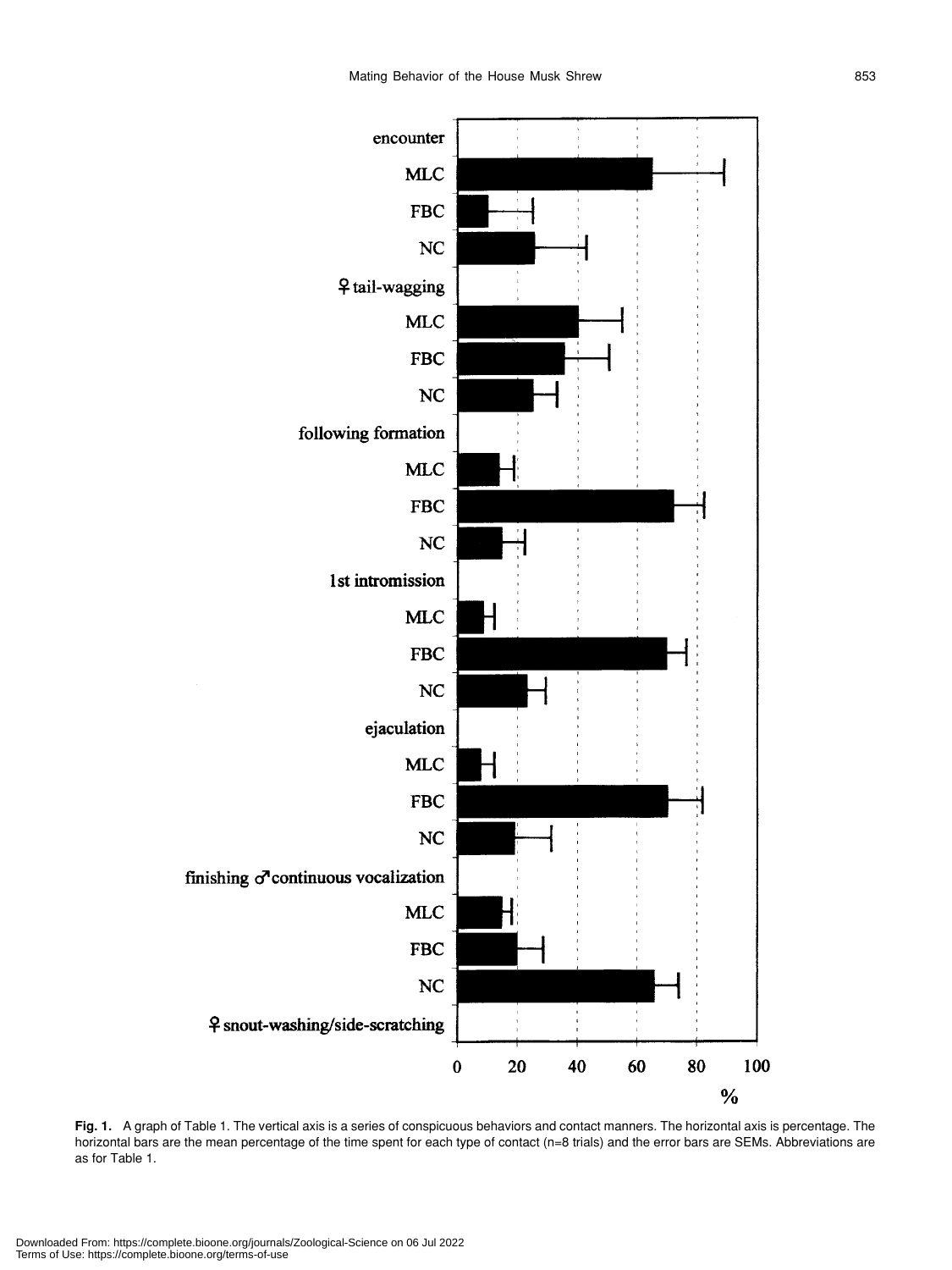

**Fig. 1.** A graph of Table 1. The vertical axis is a series of conspicuous behaviors and contact manners. The horizontal axis is percentage. The horizontal bars are the mean percentage of the time spent for each type of contact (n=8 trials) and the error bars are SEMs. Abbreviations are as for Table 1.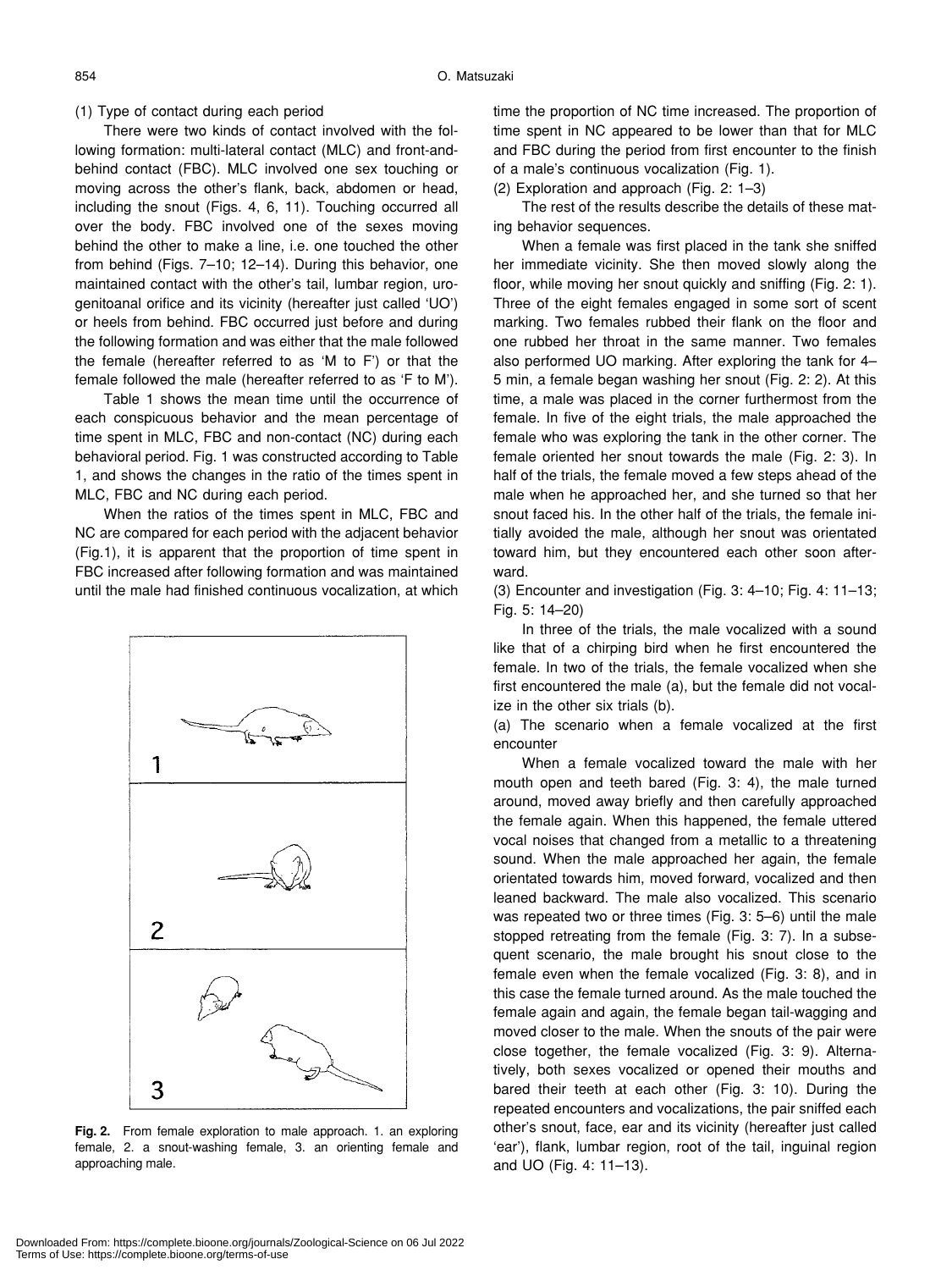#### (1) Type of contact during each period

There were two kinds of contact involved with the following formation: multi-lateral contact (MLC) and front-andbehind contact (FBC). MLC involved one sex touching or moving across the other's flank, back, abdomen or head, including the snout (Figs. 4, 6, 11). Touching occurred all over the body. FBC involved one of the sexes moving behind the other to make a line, i.e. one touched the other from behind (Figs. 7–10; 12–14). During this behavior, one maintained contact with the other's tail, lumbar region, urogenitoanal orifice and its vicinity (hereafter just called 'UO') or heels from behind. FBC occurred just before and during the following formation and was either that the male followed the female (hereafter referred to as 'M to F') or that the female followed the male (hereafter referred to as 'F to M').

Table 1 shows the mean time until the occurrence of each conspicuous behavior and the mean percentage of time spent in MLC, FBC and non-contact (NC) during each behavioral period. Fig. 1 was constructed according to Table 1, and shows the changes in the ratio of the times spent in MLC, FBC and NC during each period.

When the ratios of the times spent in MLC, FBC and NC are compared for each period with the adjacent behavior (Fig.1), it is apparent that the proportion of time spent in FBC increased after following formation and was maintained until the male had finished continuous vocalization, at which



**Fig. 2.** From female exploration to male approach. 1. an exploring female, 2. a snout-washing female, 3. an orienting female and approaching male.

time the proportion of NC time increased. The proportion of time spent in NC appeared to be lower than that for MLC and FBC during the period from first encounter to the finish of a male's continuous vocalization (Fig. 1).

(2) Exploration and approach (Fig. 2: 1–3)

The rest of the results describe the details of these mating behavior sequences.

When a female was first placed in the tank she sniffed her immediate vicinity. She then moved slowly along the floor, while moving her snout quickly and sniffing (Fig. 2: 1). Three of the eight females engaged in some sort of scent marking. Two females rubbed their flank on the floor and one rubbed her throat in the same manner. Two females also performed UO marking. After exploring the tank for 4– 5 min, a female began washing her snout (Fig. 2: 2). At this time, a male was placed in the corner furthermost from the female. In five of the eight trials, the male approached the female who was exploring the tank in the other corner. The female oriented her snout towards the male (Fig. 2: 3). In half of the trials, the female moved a few steps ahead of the male when he approached her, and she turned so that her snout faced his. In the other half of the trials, the female initially avoided the male, although her snout was orientated toward him, but they encountered each other soon afterward.

(3) Encounter and investigation (Fig. 3: 4–10; Fig. 4: 11–13; Fig. 5: 14–20)

In three of the trials, the male vocalized with a sound like that of a chirping bird when he first encountered the female. In two of the trials, the female vocalized when she first encountered the male (a), but the female did not vocalize in the other six trials (b).

(a) The scenario when a female vocalized at the first encounter

When a female vocalized toward the male with her mouth open and teeth bared (Fig. 3: 4), the male turned around, moved away briefly and then carefully approached the female again. When this happened, the female uttered vocal noises that changed from a metallic to a threatening sound. When the male approached her again, the female orientated towards him, moved forward, vocalized and then leaned backward. The male also vocalized. This scenario was repeated two or three times (Fig. 3: 5–6) until the male stopped retreating from the female (Fig. 3: 7). In a subsequent scenario, the male brought his snout close to the female even when the female vocalized (Fig. 3: 8), and in this case the female turned around. As the male touched the female again and again, the female began tail-wagging and moved closer to the male. When the snouts of the pair were close together, the female vocalized (Fig. 3: 9). Alternatively, both sexes vocalized or opened their mouths and bared their teeth at each other (Fig. 3: 10). During the repeated encounters and vocalizations, the pair sniffed each other's snout, face, ear and its vicinity (hereafter just called 'ear'), flank, lumbar region, root of the tail, inguinal region and UO (Fig. 4: 11–13).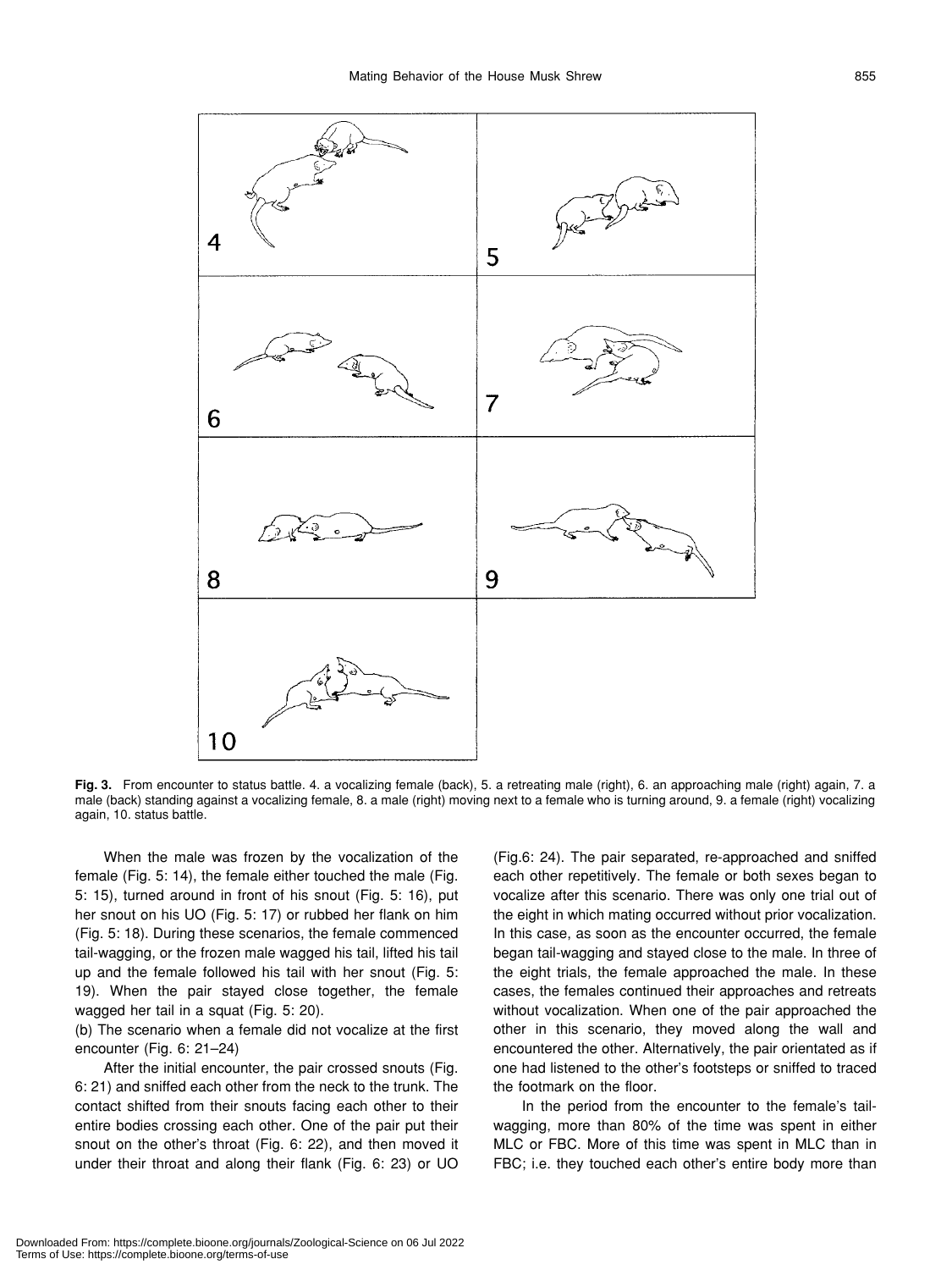

**Fig. 3.** From encounter to status battle. 4. a vocalizing female (back), 5. a retreating male (right), 6. an approaching male (right) again, 7. a male (back) standing against a vocalizing female, 8. a male (right) moving next to a female who is turning around, 9. a female (right) vocalizing again, 10. status battle.

When the male was frozen by the vocalization of the female (Fig. 5: 14), the female either touched the male (Fig. 5: 15), turned around in front of his snout (Fig. 5: 16), put her snout on his UO (Fig. 5: 17) or rubbed her flank on him (Fig. 5: 18). During these scenarios, the female commenced tail-wagging, or the frozen male wagged his tail, lifted his tail up and the female followed his tail with her snout (Fig. 5: 19). When the pair stayed close together, the female wagged her tail in a squat (Fig. 5: 20).

(b) The scenario when a female did not vocalize at the first encounter (Fig. 6: 21–24)

After the initial encounter, the pair crossed snouts (Fig. 6: 21) and sniffed each other from the neck to the trunk. The contact shifted from their snouts facing each other to their entire bodies crossing each other. One of the pair put their snout on the other's throat (Fig. 6: 22), and then moved it under their throat and along their flank (Fig. 6: 23) or UO

(Fig.6: 24). The pair separated, re-approached and sniffed each other repetitively. The female or both sexes began to vocalize after this scenario. There was only one trial out of the eight in which mating occurred without prior vocalization. In this case, as soon as the encounter occurred, the female began tail-wagging and stayed close to the male. In three of the eight trials, the female approached the male. In these cases, the females continued their approaches and retreats without vocalization. When one of the pair approached the other in this scenario, they moved along the wall and encountered the other. Alternatively, the pair orientated as if one had listened to the other's footsteps or sniffed to traced the footmark on the floor.

In the period from the encounter to the female's tailwagging, more than 80% of the time was spent in either MLC or FBC. More of this time was spent in MLC than in FBC; i.e. they touched each other's entire body more than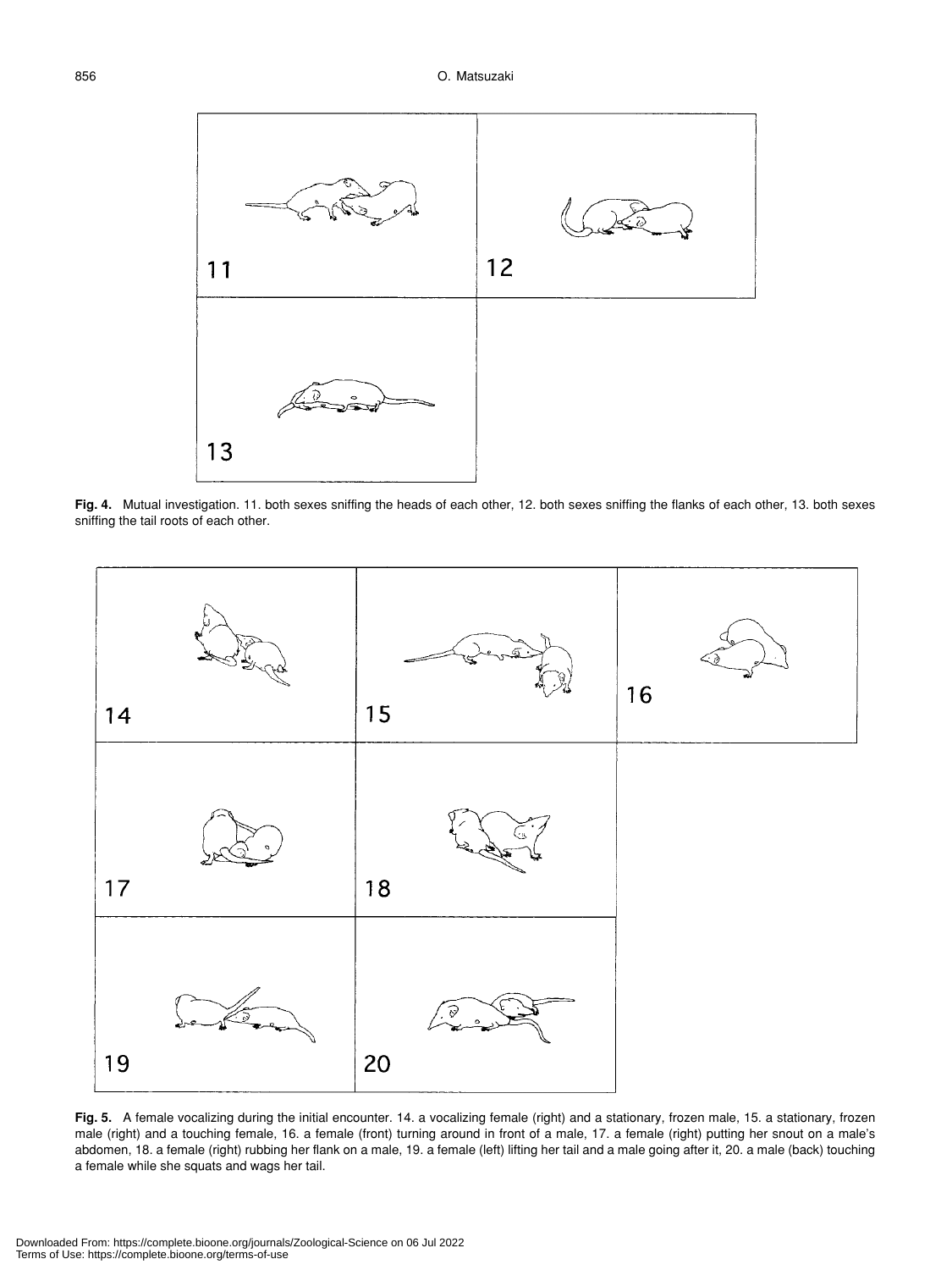

**Fig. 4.** Mutual investigation. 11. both sexes sniffing the heads of each other, 12. both sexes sniffing the flanks of each other, 13. both sexes sniffing the tail roots of each other.



**Fig. 5.** A female vocalizing during the initial encounter. 14. a vocalizing female (right) and a stationary, frozen male, 15. a stationary, frozen male (right) and a touching female, 16. a female (front) turning around in front of a male, 17. a female (right) putting her snout on a male's abdomen, 18. a female (right) rubbing her flank on a male, 19. a female (left) lifting her tail and a male going after it, 20. a male (back) touching a female while she squats and wags her tail.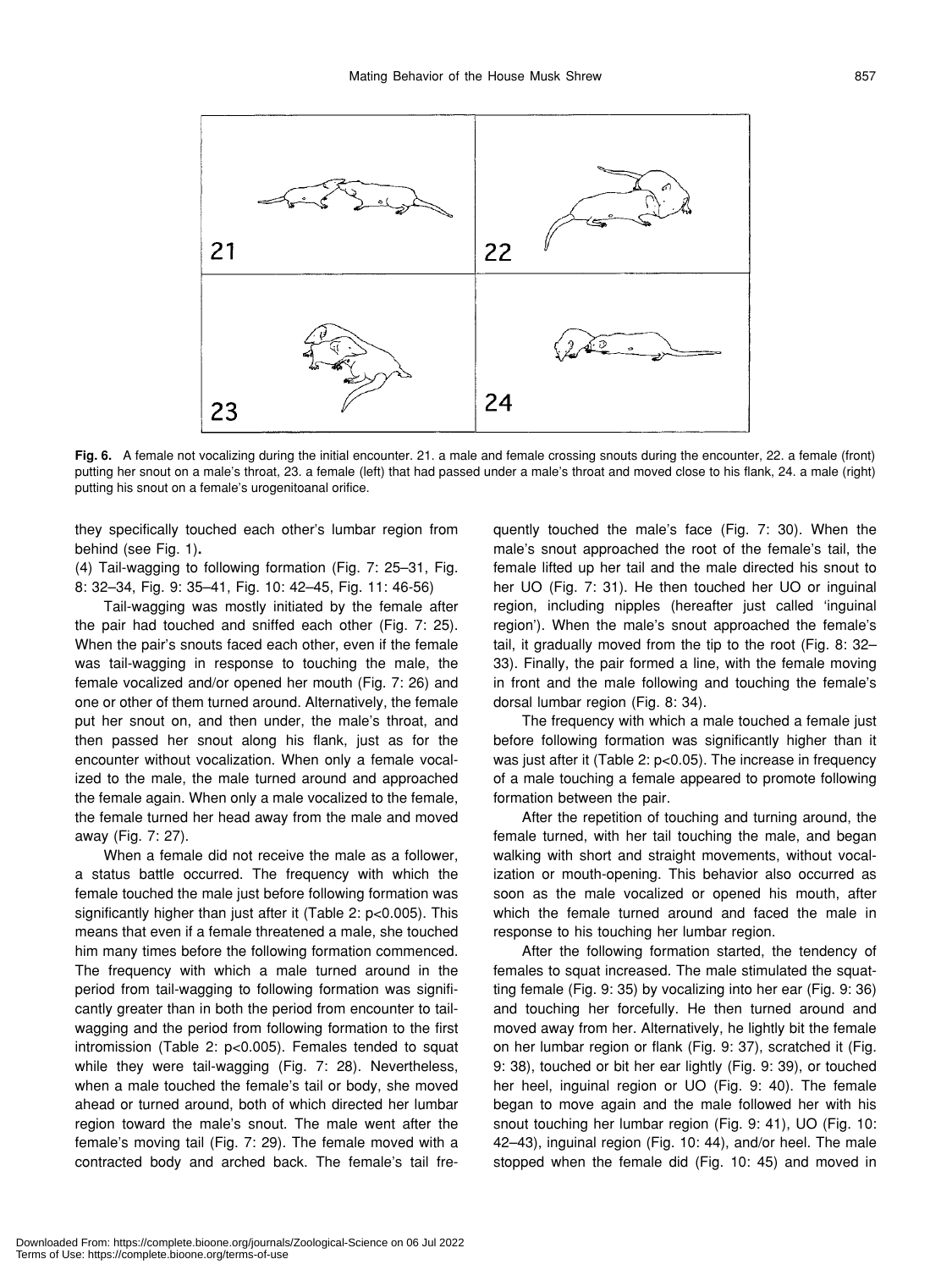

**Fig. 6.** A female not vocalizing during the initial encounter. 21. a male and female crossing snouts during the encounter, 22. a female (front) putting her snout on a male's throat, 23. a female (left) that had passed under a male's throat and moved close to his flank, 24. a male (right) putting his snout on a female's urogenitoanal orifice.

they specifically touched each other's lumbar region from behind (see Fig. 1)**.**

(4) Tail-wagging to following formation (Fig. 7: 25–31, Fig. 8: 32–34, Fig. 9: 35–41, Fig. 10: 42–45, Fig. 11: 46-56)

Tail-wagging was mostly initiated by the female after the pair had touched and sniffed each other (Fig. 7: 25). When the pair's snouts faced each other, even if the female was tail-wagging in response to touching the male, the female vocalized and/or opened her mouth (Fig. 7: 26) and one or other of them turned around. Alternatively, the female put her snout on, and then under, the male's throat, and then passed her snout along his flank, just as for the encounter without vocalization. When only a female vocalized to the male, the male turned around and approached the female again. When only a male vocalized to the female, the female turned her head away from the male and moved away (Fig. 7: 27).

When a female did not receive the male as a follower, a status battle occurred. The frequency with which the female touched the male just before following formation was significantly higher than just after it (Table 2: p<0.005). This means that even if a female threatened a male, she touched him many times before the following formation commenced. The frequency with which a male turned around in the period from tail-wagging to following formation was significantly greater than in both the period from encounter to tailwagging and the period from following formation to the first intromission (Table 2: p<0.005). Females tended to squat while they were tail-wagging (Fig. 7: 28). Nevertheless, when a male touched the female's tail or body, she moved ahead or turned around, both of which directed her lumbar region toward the male's snout. The male went after the female's moving tail (Fig. 7: 29). The female moved with a contracted body and arched back. The female's tail frequently touched the male's face (Fig. 7: 30). When the male's snout approached the root of the female's tail, the female lifted up her tail and the male directed his snout to her UO (Fig. 7: 31). He then touched her UO or inguinal region, including nipples (hereafter just called 'inguinal region'). When the male's snout approached the female's tail, it gradually moved from the tip to the root (Fig. 8: 32– 33). Finally, the pair formed a line, with the female moving in front and the male following and touching the female's dorsal lumbar region (Fig. 8: 34).

The frequency with which a male touched a female just before following formation was significantly higher than it was just after it (Table 2: p<0.05). The increase in frequency of a male touching a female appeared to promote following formation between the pair.

After the repetition of touching and turning around, the female turned, with her tail touching the male, and began walking with short and straight movements, without vocalization or mouth-opening. This behavior also occurred as soon as the male vocalized or opened his mouth, after which the female turned around and faced the male in response to his touching her lumbar region.

After the following formation started, the tendency of females to squat increased. The male stimulated the squatting female (Fig. 9: 35) by vocalizing into her ear (Fig. 9: 36) and touching her forcefully. He then turned around and moved away from her. Alternatively, he lightly bit the female on her lumbar region or flank (Fig. 9: 37), scratched it (Fig. 9: 38), touched or bit her ear lightly (Fig. 9: 39), or touched her heel, inguinal region or UO (Fig. 9: 40). The female began to move again and the male followed her with his snout touching her lumbar region (Fig. 9: 41), UO (Fig. 10: 42–43), inguinal region (Fig. 10: 44), and/or heel. The male stopped when the female did (Fig. 10: 45) and moved in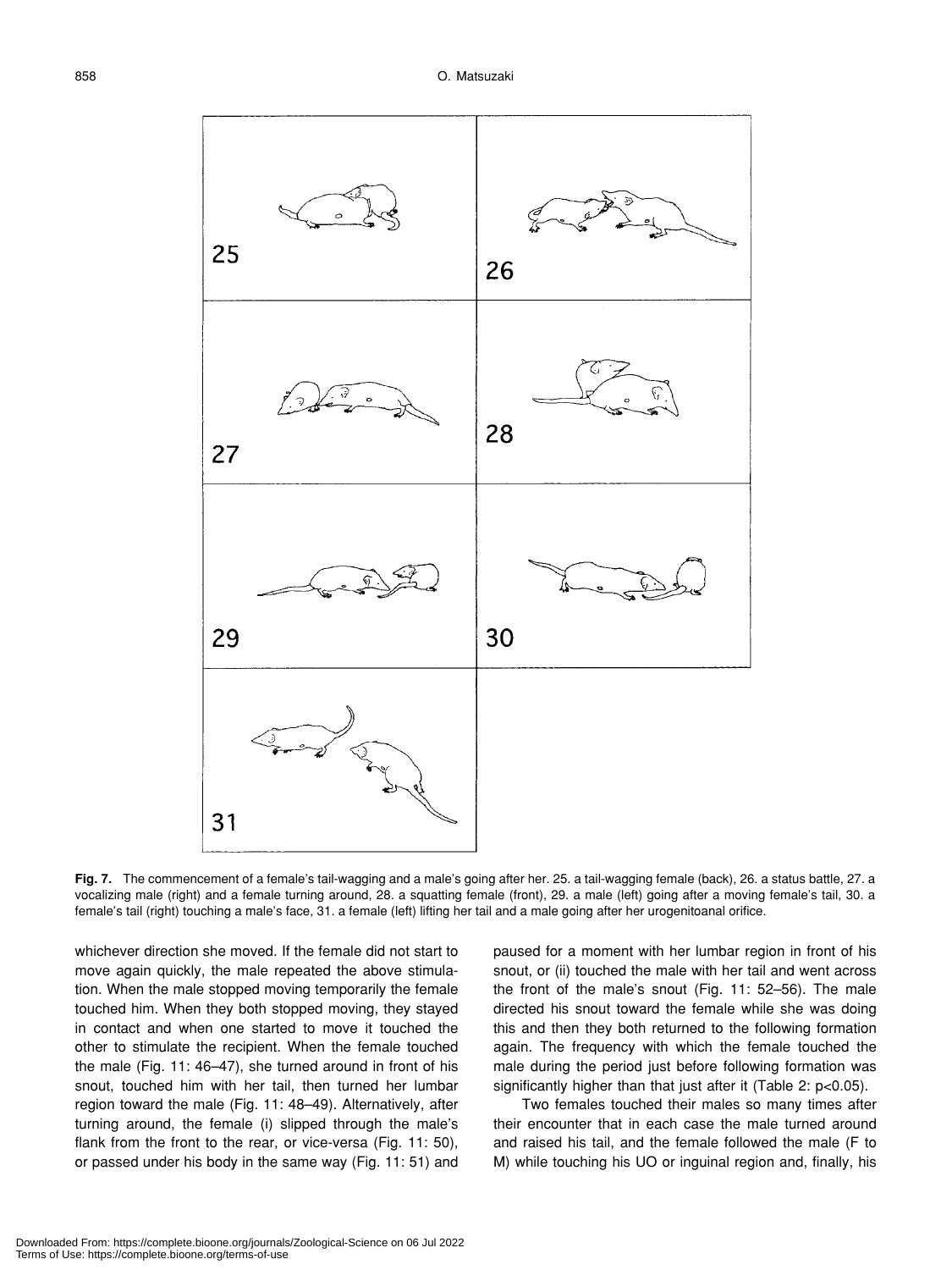

**Fig. 7.** The commencement of a female's tail-wagging and a male's going after her. 25. a tail-wagging female (back), 26. a status battle, 27. a vocalizing male (right) and a female turning around, 28. a squatting female (front), 29. a male (left) going after a moving female's tail, 30. a female's tail (right) touching a male's face, 31. a female (left) lifting her tail and a male going after her urogenitoanal orifice.

whichever direction she moved. If the female did not start to move again quickly, the male repeated the above stimulation. When the male stopped moving temporarily the female touched him. When they both stopped moving, they stayed in contact and when one started to move it touched the other to stimulate the recipient. When the female touched the male (Fig. 11: 46–47), she turned around in front of his snout, touched him with her tail, then turned her lumbar region toward the male (Fig. 11: 48–49). Alternatively, after turning around, the female (i) slipped through the male's flank from the front to the rear, or vice-versa (Fig. 11: 50), or passed under his body in the same way (Fig. 11: 51) and paused for a moment with her lumbar region in front of his snout, or (ii) touched the male with her tail and went across the front of the male's snout (Fig. 11: 52–56). The male directed his snout toward the female while she was doing this and then they both returned to the following formation again. The frequency with which the female touched the male during the period just before following formation was significantly higher than that just after it (Table 2: p<0.05).

Two females touched their males so many times after their encounter that in each case the male turned around and raised his tail, and the female followed the male (F to M) while touching his UO or inguinal region and, finally, his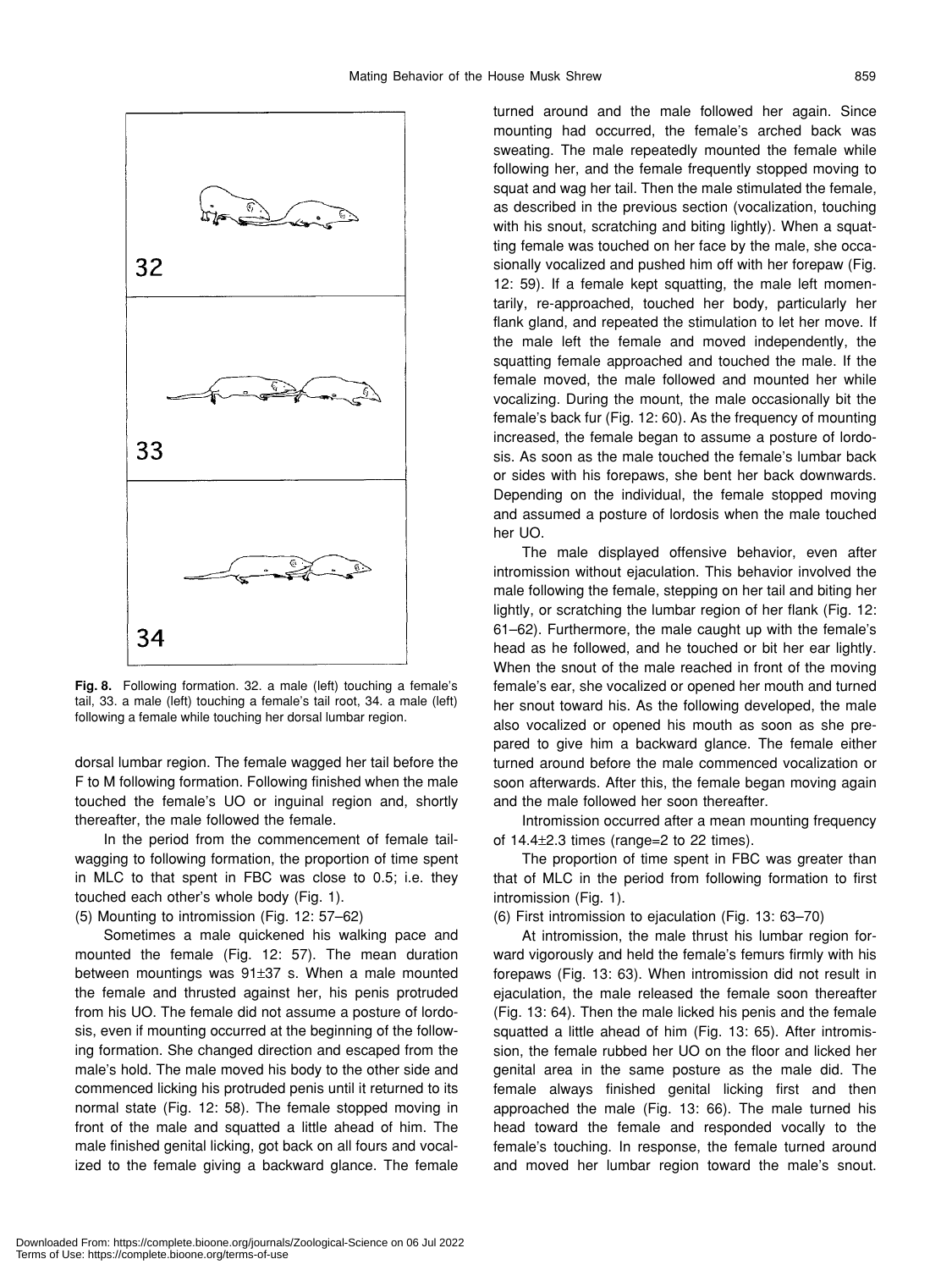

**Fig. 8.** Following formation. 32. a male (left) touching a female's tail, 33. a male (left) touching a female's tail root, 34. a male (left) following a female while touching her dorsal lumbar region.

dorsal lumbar region. The female wagged her tail before the F to M following formation. Following finished when the male touched the female's UO or inguinal region and, shortly thereafter, the male followed the female.

In the period from the commencement of female tailwagging to following formation, the proportion of time spent in MLC to that spent in FBC was close to 0.5; i.e. they touched each other's whole body (Fig. 1).

(5) Mounting to intromission (Fig. 12: 57–62)

Sometimes a male quickened his walking pace and mounted the female (Fig. 12: 57). The mean duration between mountings was 91±37 s. When a male mounted the female and thrusted against her, his penis protruded from his UO. The female did not assume a posture of lordosis, even if mounting occurred at the beginning of the following formation. She changed direction and escaped from the male's hold. The male moved his body to the other side and commenced licking his protruded penis until it returned to its normal state (Fig. 12: 58). The female stopped moving in front of the male and squatted a little ahead of him. The male finished genital licking, got back on all fours and vocalized to the female giving a backward glance. The female turned around and the male followed her again. Since mounting had occurred, the female's arched back was sweating. The male repeatedly mounted the female while following her, and the female frequently stopped moving to squat and wag her tail. Then the male stimulated the female, as described in the previous section (vocalization, touching with his snout, scratching and biting lightly). When a squatting female was touched on her face by the male, she occasionally vocalized and pushed him off with her forepaw (Fig. 12: 59). If a female kept squatting, the male left momentarily, re-approached, touched her body, particularly her flank gland, and repeated the stimulation to let her move. If the male left the female and moved independently, the squatting female approached and touched the male. If the female moved, the male followed and mounted her while vocalizing. During the mount, the male occasionally bit the female's back fur (Fig. 12: 60). As the frequency of mounting increased, the female began to assume a posture of lordosis. As soon as the male touched the female's lumbar back or sides with his forepaws, she bent her back downwards. Depending on the individual, the female stopped moving and assumed a posture of lordosis when the male touched her UO.

The male displayed offensive behavior, even after intromission without ejaculation. This behavior involved the male following the female, stepping on her tail and biting her lightly, or scratching the lumbar region of her flank (Fig. 12: 61–62). Furthermore, the male caught up with the female's head as he followed, and he touched or bit her ear lightly. When the snout of the male reached in front of the moving female's ear, she vocalized or opened her mouth and turned her snout toward his. As the following developed, the male also vocalized or opened his mouth as soon as she prepared to give him a backward glance. The female either turned around before the male commenced vocalization or soon afterwards. After this, the female began moving again and the male followed her soon thereafter.

Intromission occurred after a mean mounting frequency of 14.4±2.3 times (range=2 to 22 times).

The proportion of time spent in FBC was greater than that of MLC in the period from following formation to first intromission (Fig. 1).

(6) First intromission to ejaculation (Fig. 13: 63–70)

At intromission, the male thrust his lumbar region forward vigorously and held the female's femurs firmly with his forepaws (Fig. 13: 63). When intromission did not result in ejaculation, the male released the female soon thereafter (Fig. 13: 64). Then the male licked his penis and the female squatted a little ahead of him (Fig. 13: 65). After intromission, the female rubbed her UO on the floor and licked her genital area in the same posture as the male did. The female always finished genital licking first and then approached the male (Fig. 13: 66). The male turned his head toward the female and responded vocally to the female's touching. In response, the female turned around and moved her lumbar region toward the male's snout.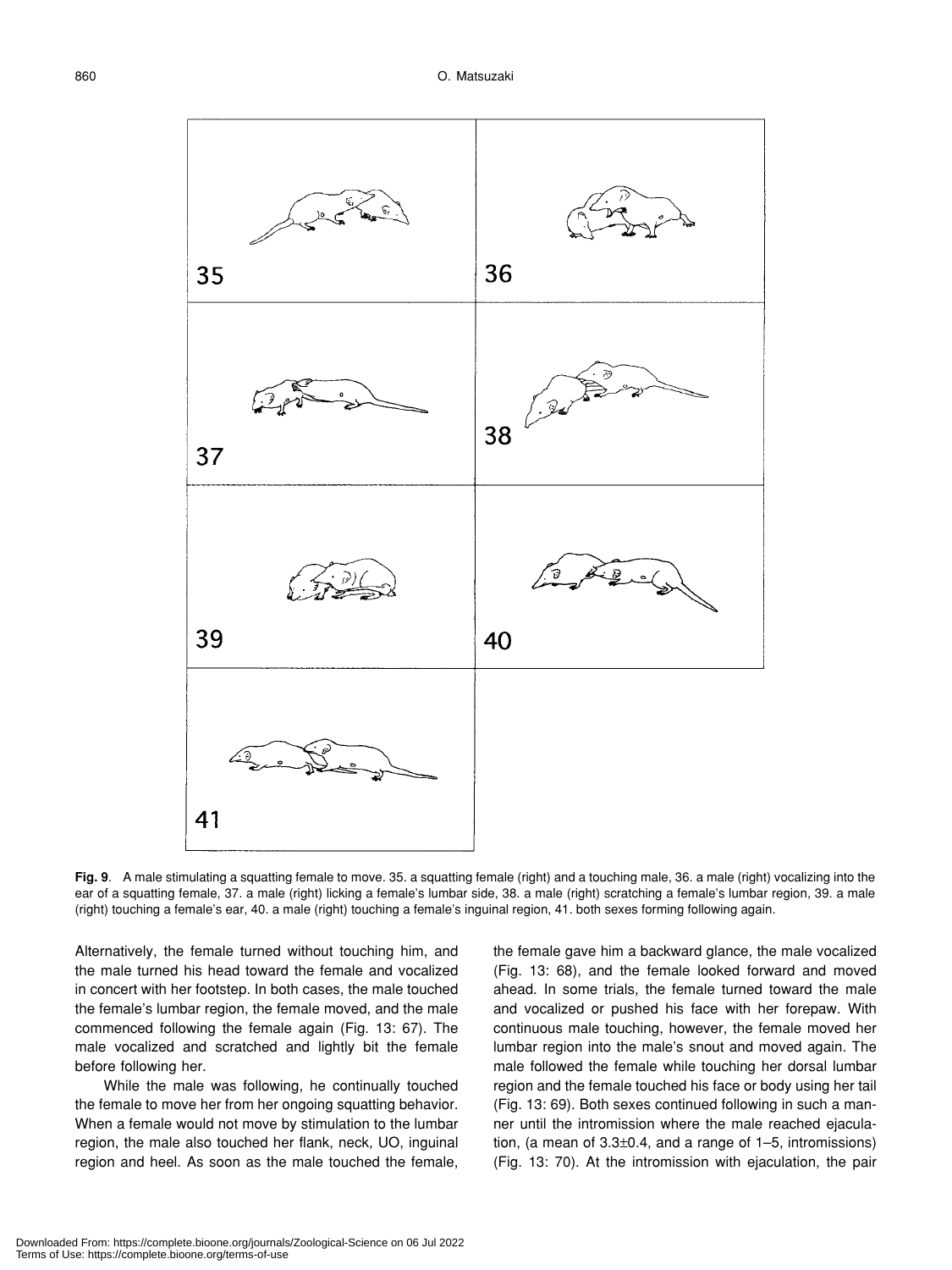

**Fig. 9**. A male stimulating a squatting female to move. 35. a squatting female (right) and a touching male, 36. a male (right) vocalizing into the ear of a squatting female, 37. a male (right) licking a female's lumbar side, 38. a male (right) scratching a female's lumbar region, 39. a male (right) touching a female's ear, 40. a male (right) touching a female's inguinal region, 41. both sexes forming following again.

Alternatively, the female turned without touching him, and the male turned his head toward the female and vocalized in concert with her footstep. In both cases, the male touched the female's lumbar region, the female moved, and the male commenced following the female again (Fig. 13: 67). The male vocalized and scratched and lightly bit the female before following her.

While the male was following, he continually touched the female to move her from her ongoing squatting behavior. When a female would not move by stimulation to the lumbar region, the male also touched her flank, neck, UO, inguinal region and heel. As soon as the male touched the female, the female gave him a backward glance, the male vocalized (Fig. 13: 68), and the female looked forward and moved ahead. In some trials, the female turned toward the male and vocalized or pushed his face with her forepaw. With continuous male touching, however, the female moved her lumbar region into the male's snout and moved again. The male followed the female while touching her dorsal lumbar region and the female touched his face or body using her tail (Fig. 13: 69). Both sexes continued following in such a manner until the intromission where the male reached ejaculation, (a mean of 3.3±0.4, and a range of 1–5, intromissions) (Fig. 13: 70). At the intromission with ejaculation, the pair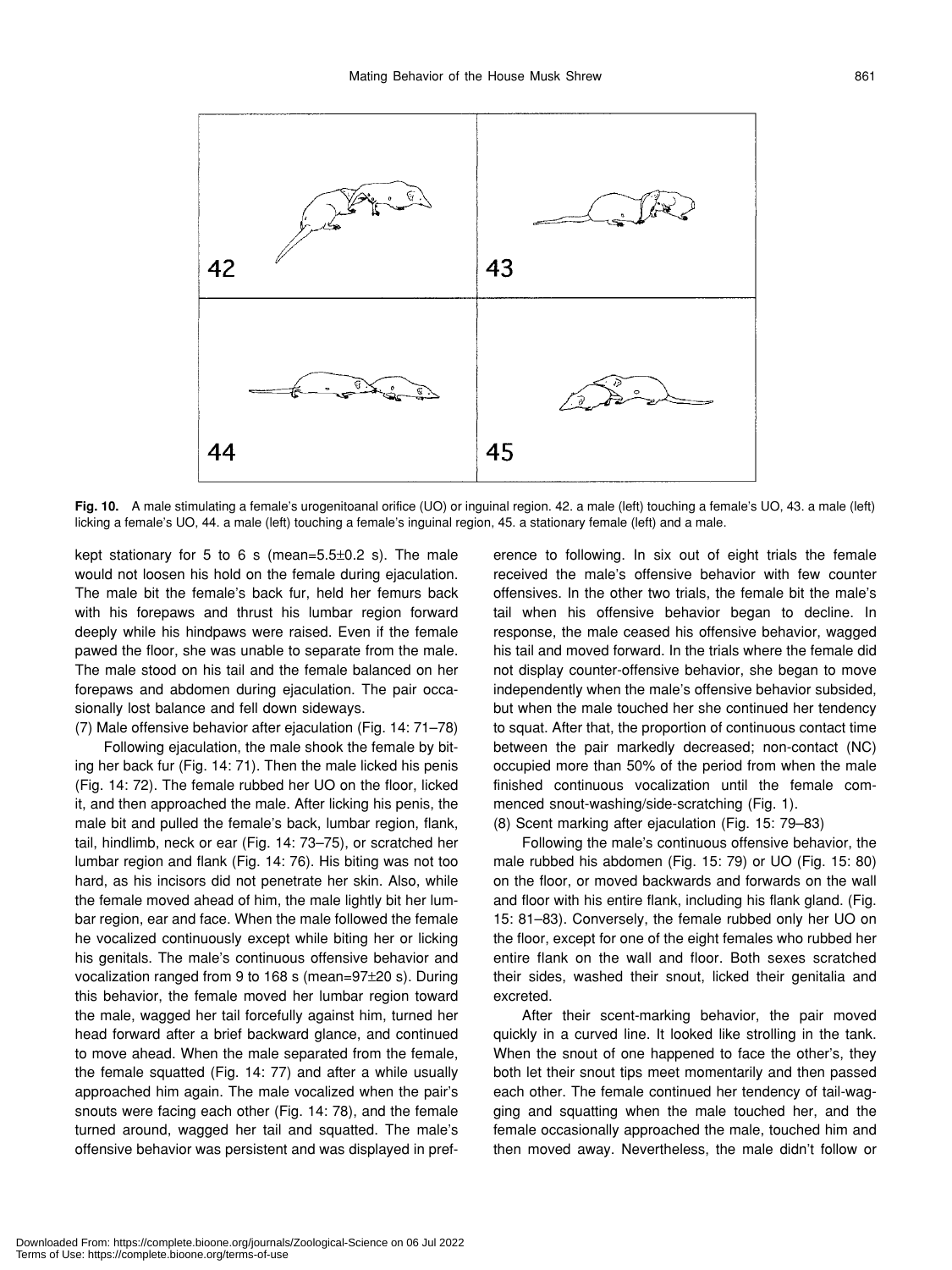

**Fig. 10.** A male stimulating a female's urogenitoanal orifice (UO) or inguinal region. 42. a male (left) touching a female's UO, 43. a male (left) licking a female's UO, 44. a male (left) touching a female's inguinal region, 45. a stationary female (left) and a male.

kept stationary for 5 to 6 s (mean= $5.5\pm0.2$  s). The male would not loosen his hold on the female during ejaculation. The male bit the female's back fur, held her femurs back with his forepaws and thrust his lumbar region forward deeply while his hindpaws were raised. Even if the female pawed the floor, she was unable to separate from the male. The male stood on his tail and the female balanced on her forepaws and abdomen during ejaculation. The pair occasionally lost balance and fell down sideways.

(7) Male offensive behavior after ejaculation (Fig. 14: 71–78)

Following ejaculation, the male shook the female by biting her back fur (Fig. 14: 71). Then the male licked his penis (Fig. 14: 72). The female rubbed her UO on the floor, licked it, and then approached the male. After licking his penis, the male bit and pulled the female's back, lumbar region, flank, tail, hindlimb, neck or ear (Fig. 14: 73–75), or scratched her lumbar region and flank (Fig. 14: 76). His biting was not too hard, as his incisors did not penetrate her skin. Also, while the female moved ahead of him, the male lightly bit her lumbar region, ear and face. When the male followed the female he vocalized continuously except while biting her or licking his genitals. The male's continuous offensive behavior and vocalization ranged from 9 to 168 s (mean=97±20 s). During this behavior, the female moved her lumbar region toward the male, wagged her tail forcefully against him, turned her head forward after a brief backward glance, and continued to move ahead. When the male separated from the female, the female squatted (Fig. 14: 77) and after a while usually approached him again. The male vocalized when the pair's snouts were facing each other (Fig. 14: 78), and the female turned around, wagged her tail and squatted. The male's offensive behavior was persistent and was displayed in preference to following. In six out of eight trials the female received the male's offensive behavior with few counter offensives. In the other two trials, the female bit the male's tail when his offensive behavior began to decline. In response, the male ceased his offensive behavior, wagged his tail and moved forward. In the trials where the female did not display counter-offensive behavior, she began to move independently when the male's offensive behavior subsided, but when the male touched her she continued her tendency to squat. After that, the proportion of continuous contact time between the pair markedly decreased; non-contact (NC) occupied more than 50% of the period from when the male finished continuous vocalization until the female commenced snout-washing/side-scratching (Fig. 1).

(8) Scent marking after ejaculation (Fig. 15: 79–83)

Following the male's continuous offensive behavior, the male rubbed his abdomen (Fig. 15: 79) or UO (Fig. 15: 80) on the floor, or moved backwards and forwards on the wall and floor with his entire flank, including his flank gland. (Fig. 15: 81–83). Conversely, the female rubbed only her UO on the floor, except for one of the eight females who rubbed her entire flank on the wall and floor. Both sexes scratched their sides, washed their snout, licked their genitalia and excreted.

After their scent-marking behavior, the pair moved quickly in a curved line. It looked like strolling in the tank. When the snout of one happened to face the other's, they both let their snout tips meet momentarily and then passed each other. The female continued her tendency of tail-wagging and squatting when the male touched her, and the female occasionally approached the male, touched him and then moved away. Nevertheless, the male didn't follow or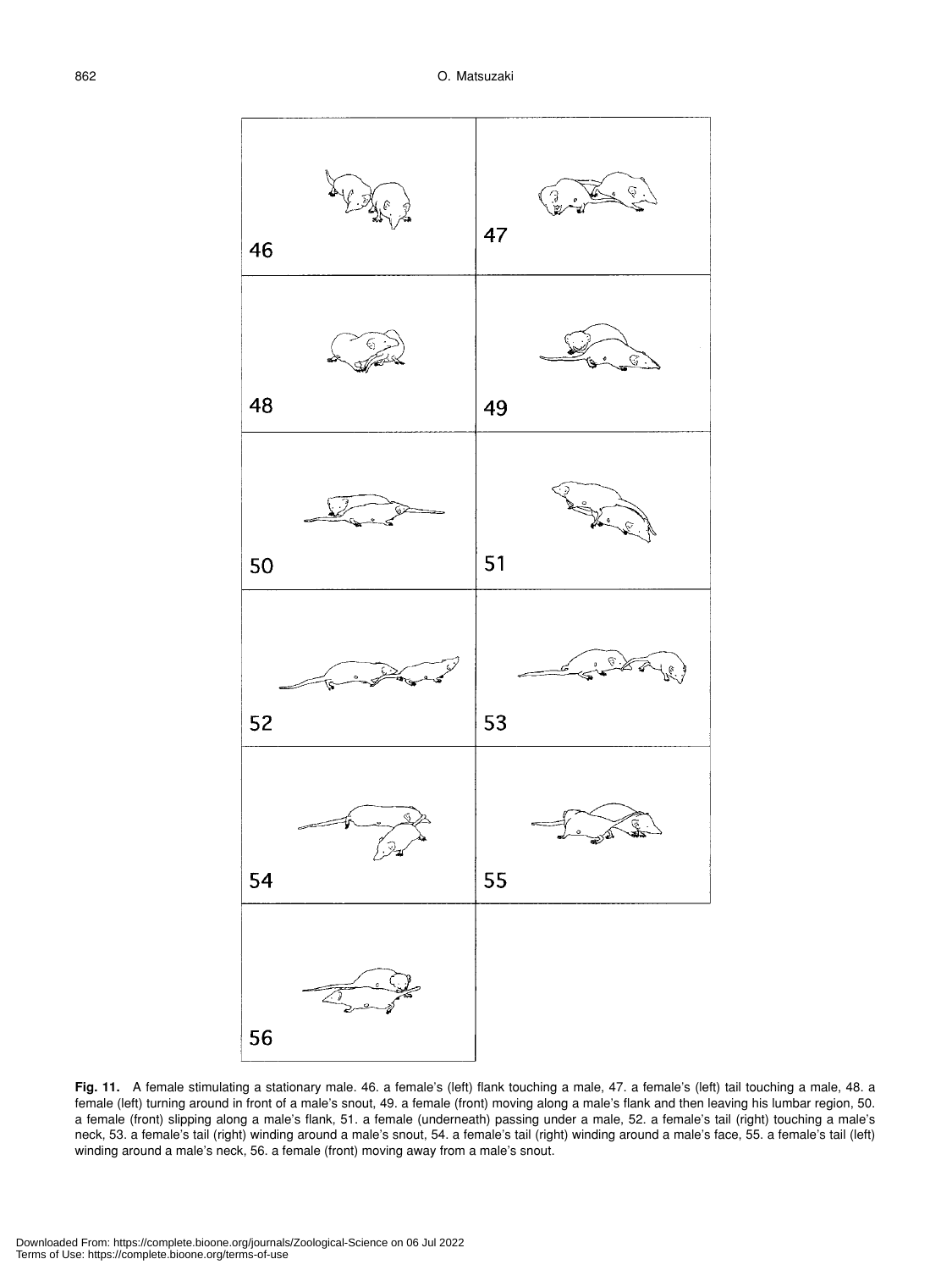

**Fig. 11.** A female stimulating a stationary male. 46. a female's (left) flank touching a male, 47. a female's (left) tail touching a male, 48. a female (left) turning around in front of a male's snout, 49. a female (front) moving along a male's flank and then leaving his lumbar region, 50. a female (front) slipping along a male's flank, 51. a female (underneath) passing under a male, 52. a female's tail (right) touching a male's neck, 53. a female's tail (right) winding around a male's snout, 54. a female's tail (right) winding around a male's face, 55. a female's tail (left) winding around a male's neck, 56. a female (front) moving away from a male's snout.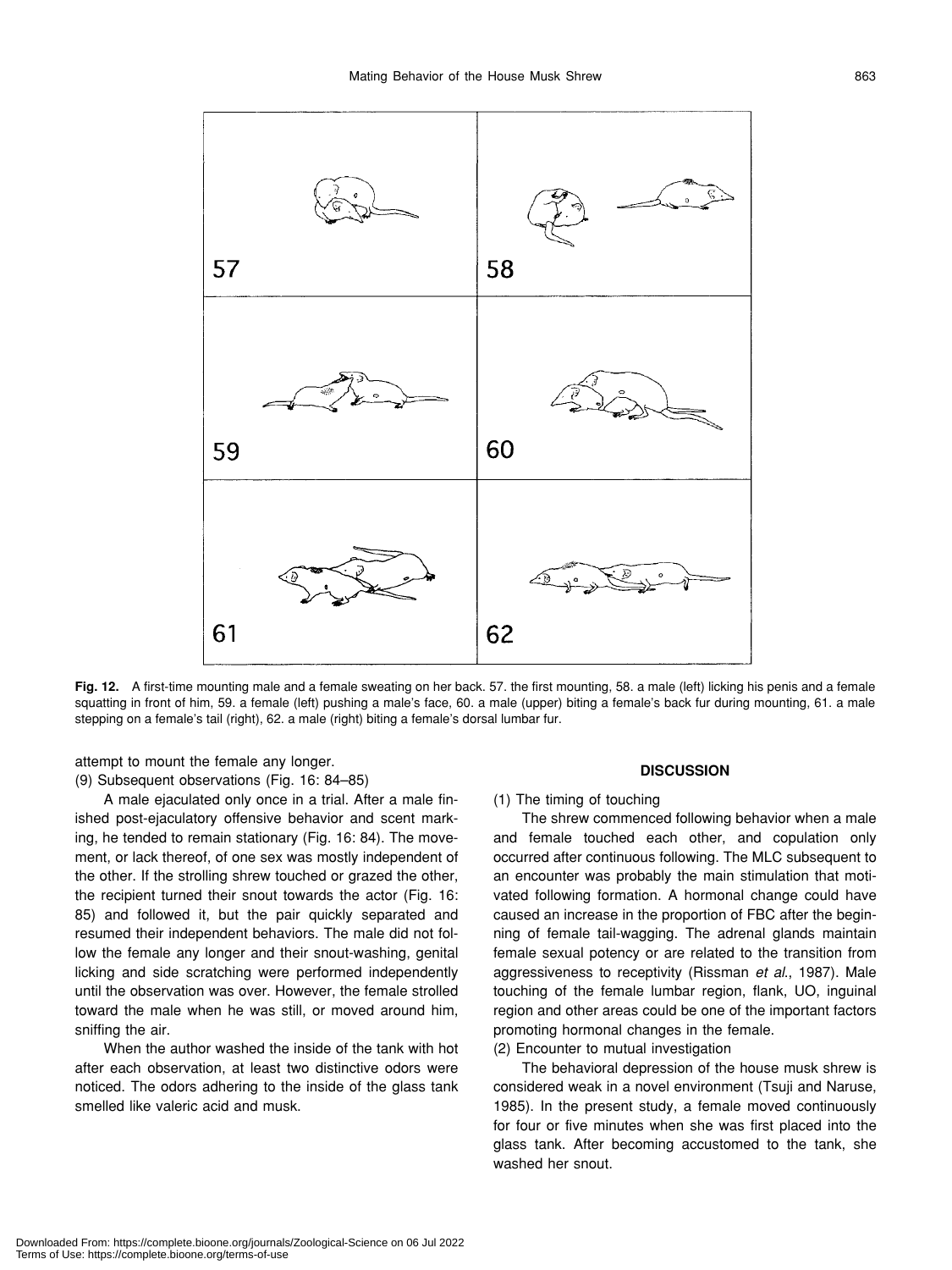

**Fig. 12.** A first-time mounting male and a female sweating on her back. 57. the first mounting, 58. a male (left) licking his penis and a female squatting in front of him, 59. a female (left) pushing a male's face, 60. a male (upper) biting a female's back fur during mounting, 61. a male stepping on a female's tail (right), 62. a male (right) biting a female's dorsal lumbar fur.

attempt to mount the female any longer.

(9) Subsequent observations (Fig. 16: 84–85)

A male ejaculated only once in a trial. After a male finished post-ejaculatory offensive behavior and scent marking, he tended to remain stationary (Fig. 16: 84). The movement, or lack thereof, of one sex was mostly independent of the other. If the strolling shrew touched or grazed the other, the recipient turned their snout towards the actor (Fig. 16: 85) and followed it, but the pair quickly separated and resumed their independent behaviors. The male did not follow the female any longer and their snout-washing, genital licking and side scratching were performed independently until the observation was over. However, the female strolled toward the male when he was still, or moved around him, sniffing the air.

When the author washed the inside of the tank with hot after each observation, at least two distinctive odors were noticed. The odors adhering to the inside of the glass tank smelled like valeric acid and musk.

#### **DISCUSSION**

(1) The timing of touching

The shrew commenced following behavior when a male and female touched each other, and copulation only occurred after continuous following. The MLC subsequent to an encounter was probably the main stimulation that motivated following formation. A hormonal change could have caused an increase in the proportion of FBC after the beginning of female tail-wagging. The adrenal glands maintain female sexual potency or are related to the transition from aggressiveness to receptivity (Rissman *et al*., 1987). Male touching of the female lumbar region, flank, UO, inguinal region and other areas could be one of the important factors promoting hormonal changes in the female.

(2) Encounter to mutual investigation

The behavioral depression of the house musk shrew is considered weak in a novel environment (Tsuji and Naruse, 1985). In the present study, a female moved continuously for four or five minutes when she was first placed into the glass tank. After becoming accustomed to the tank, she washed her snout.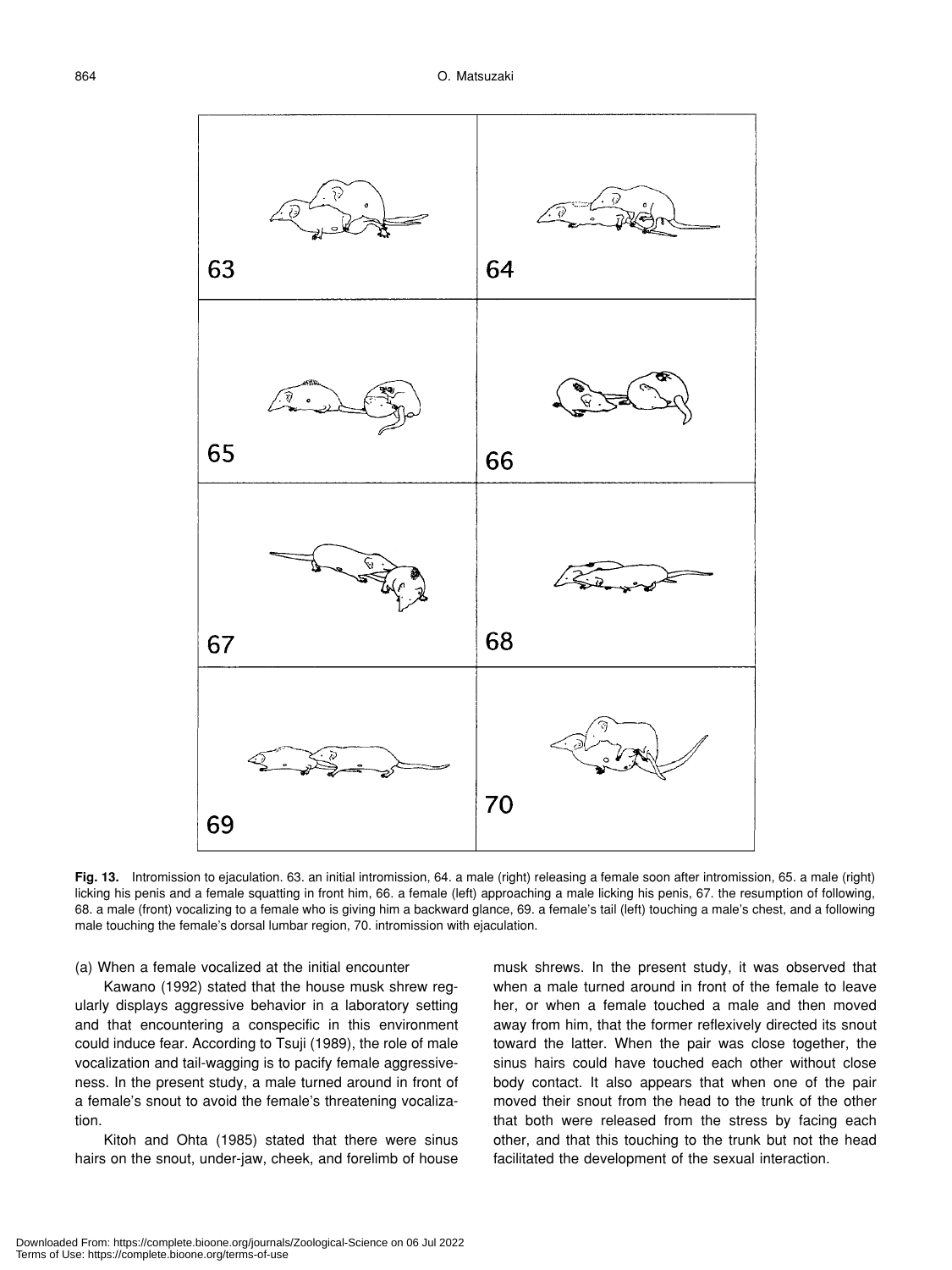

**Fig. 13.** Intromission to ejaculation. 63. an initial intromission, 64. a male (right) releasing a female soon after intromission, 65. a male (right) licking his penis and a female squatting in front him, 66. a female (left) approaching a male licking his penis, 67. the resumption of following,

68. a male (front) vocalizing to a female who is giving him a backward glance, 69. a female's tail (left) touching a male's chest, and a following

(a) When a female vocalized at the initial encounter

Kawano (1992) stated that the house musk shrew regularly displays aggressive behavior in a laboratory setting and that encountering a conspecific in this environment could induce fear. According to Tsuji (1989), the role of male vocalization and tail-wagging is to pacify female aggressiveness. In the present study, a male turned around in front of a female's snout to avoid the female's threatening vocalization.

male touching the female's dorsal lumbar region, 70. intromission with ejaculation.

Kitoh and Ohta (1985) stated that there were sinus hairs on the snout, under-jaw, cheek, and forelimb of house musk shrews. In the present study, it was observed that when a male turned around in front of the female to leave her, or when a female touched a male and then moved away from him, that the former reflexively directed its snout toward the latter. When the pair was close together, the sinus hairs could have touched each other without close body contact. It also appears that when one of the pair moved their snout from the head to the trunk of the other that both were released from the stress by facing each other, and that this touching to the trunk but not the head facilitated the development of the sexual interaction.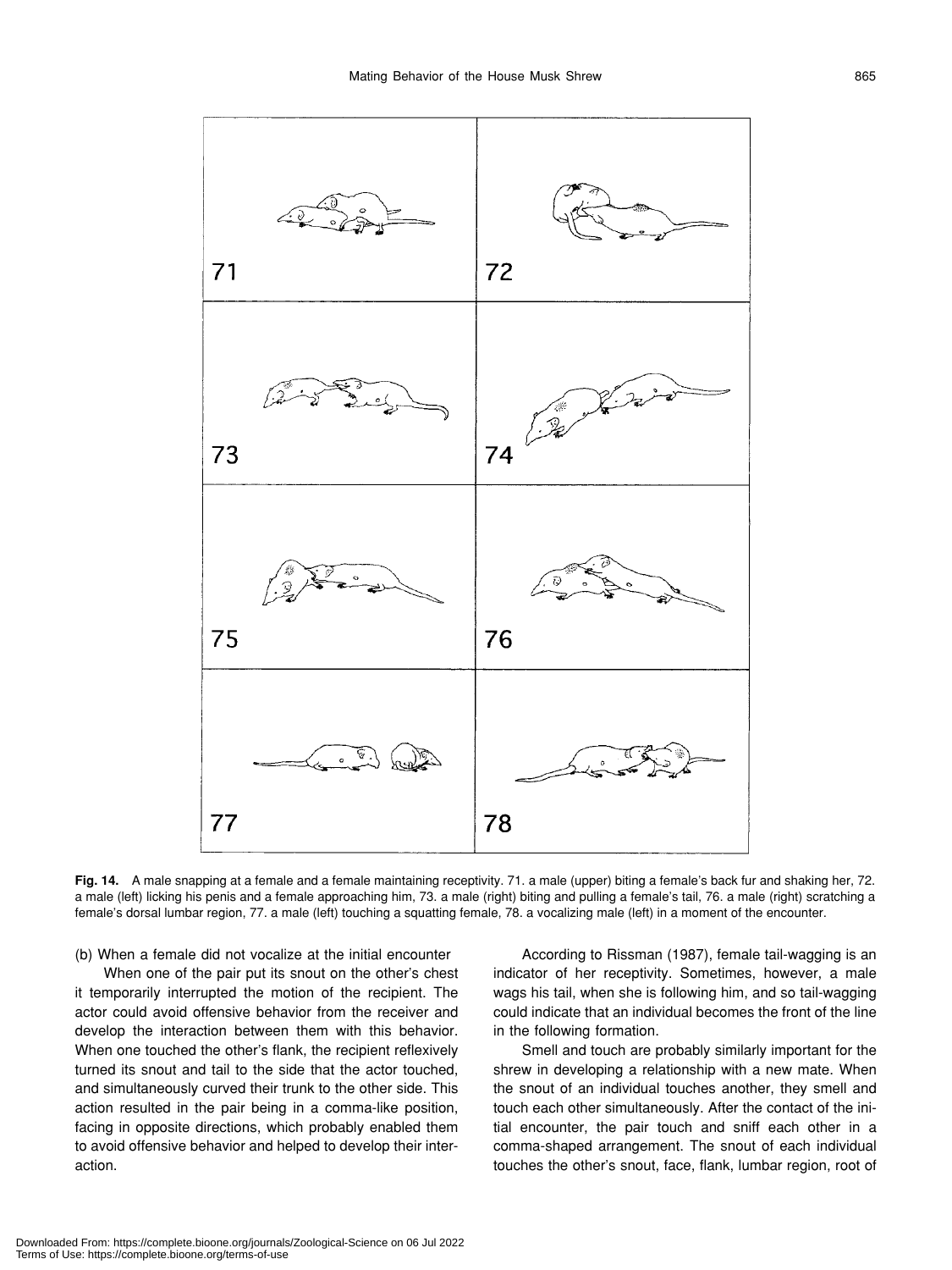

**Fig. 14.** A male snapping at a female and a female maintaining receptivity. 71. a male (upper) biting a female's back fur and shaking her, 72. a male (left) licking his penis and a female approaching him, 73. a male (right) biting and pulling a female's tail, 76. a male (right) scratching a female's dorsal lumbar region, 77. a male (left) touching a squatting female, 78. a vocalizing male (left) in a moment of the encounter.

(b) When a female did not vocalize at the initial encounter

When one of the pair put its snout on the other's chest it temporarily interrupted the motion of the recipient. The actor could avoid offensive behavior from the receiver and develop the interaction between them with this behavior. When one touched the other's flank, the recipient reflexively turned its snout and tail to the side that the actor touched, and simultaneously curved their trunk to the other side. This action resulted in the pair being in a comma-like position, facing in opposite directions, which probably enabled them to avoid offensive behavior and helped to develop their interaction.

According to Rissman (1987), female tail-wagging is an indicator of her receptivity. Sometimes, however, a male wags his tail, when she is following him, and so tail-wagging could indicate that an individual becomes the front of the line in the following formation.

Smell and touch are probably similarly important for the shrew in developing a relationship with a new mate. When the snout of an individual touches another, they smell and touch each other simultaneously. After the contact of the initial encounter, the pair touch and sniff each other in a comma-shaped arrangement. The snout of each individual touches the other's snout, face, flank, lumbar region, root of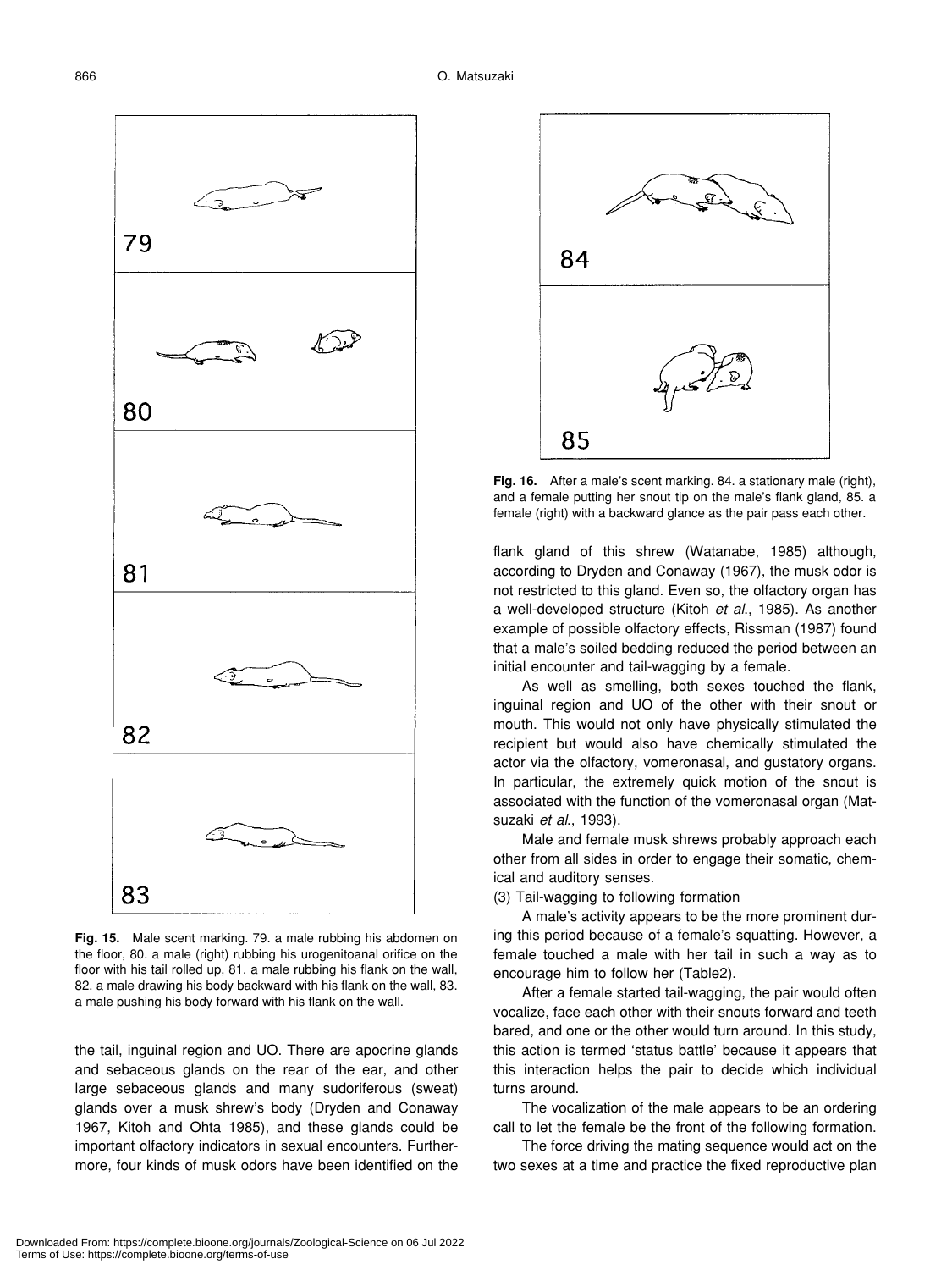

**Fig. 15.** Male scent marking. 79. a male rubbing his abdomen on the floor, 80. a male (right) rubbing his urogenitoanal orifice on the floor with his tail rolled up, 81. a male rubbing his flank on the wall, 82. a male drawing his body backward with his flank on the wall, 83. a male pushing his body forward with his flank on the wall.

the tail, inguinal region and UO. There are apocrine glands and sebaceous glands on the rear of the ear, and other large sebaceous glands and many sudoriferous (sweat) glands over a musk shrew's body (Dryden and Conaway 1967, Kitoh and Ohta 1985), and these glands could be important olfactory indicators in sexual encounters. Furthermore, four kinds of musk odors have been identified on the



**Fig. 16.** After a male's scent marking. 84. a stationary male (right), and a female putting her snout tip on the male's flank gland, 85. a female (right) with a backward glance as the pair pass each other.

flank gland of this shrew (Watanabe, 1985) although, according to Dryden and Conaway (1967), the musk odor is not restricted to this gland. Even so, the olfactory organ has a well-developed structure (Kitoh *et al*., 1985). As another example of possible olfactory effects, Rissman (1987) found that a male's soiled bedding reduced the period between an initial encounter and tail-wagging by a female.

As well as smelling, both sexes touched the flank, inguinal region and UO of the other with their snout or mouth. This would not only have physically stimulated the recipient but would also have chemically stimulated the actor via the olfactory, vomeronasal, and gustatory organs. In particular, the extremely quick motion of the snout is associated with the function of the vomeronasal organ (Matsuzaki *et al*., 1993).

Male and female musk shrews probably approach each other from all sides in order to engage their somatic, chemical and auditory senses.

(3) Tail-wagging to following formation

A male's activity appears to be the more prominent during this period because of a female's squatting. However, a female touched a male with her tail in such a way as to encourage him to follow her (Table2).

After a female started tail-wagging, the pair would often vocalize, face each other with their snouts forward and teeth bared, and one or the other would turn around. In this study, this action is termed 'status battle' because it appears that this interaction helps the pair to decide which individual turns around.

The vocalization of the male appears to be an ordering call to let the female be the front of the following formation.

The force driving the mating sequence would act on the two sexes at a time and practice the fixed reproductive plan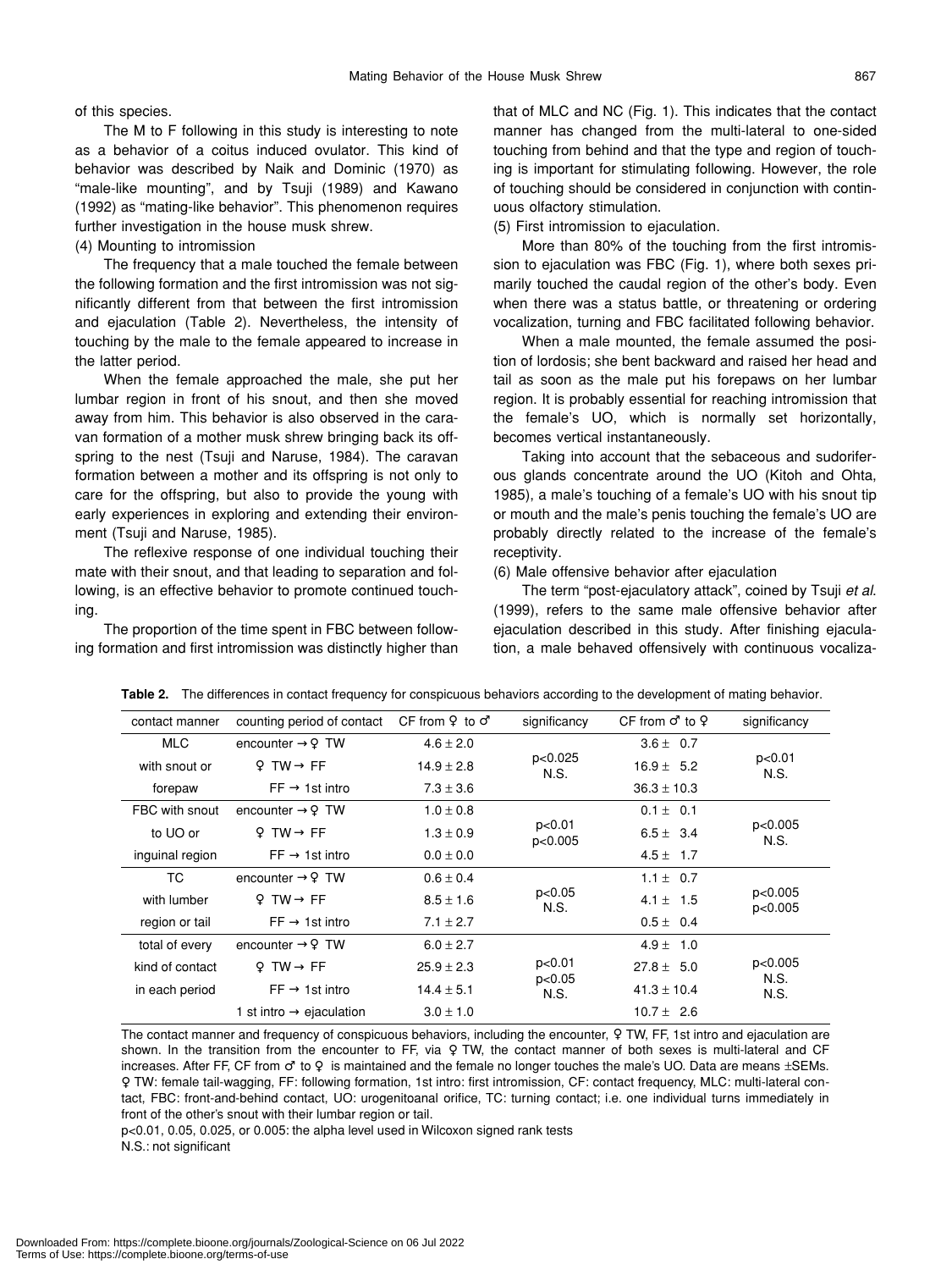of this species.

The M to F following in this study is interesting to note as a behavior of a coitus induced ovulator. This kind of behavior was described by Naik and Dominic (1970) as "male-like mounting", and by Tsuji (1989) and Kawano (1992) as "mating-like behavior". This phenomenon requires further investigation in the house musk shrew.

(4) Mounting to intromission

The frequency that a male touched the female between the following formation and the first intromission was not significantly different from that between the first intromission and ejaculation (Table 2). Nevertheless, the intensity of touching by the male to the female appeared to increase in the latter period.

When the female approached the male, she put her lumbar region in front of his snout, and then she moved away from him. This behavior is also observed in the caravan formation of a mother musk shrew bringing back its offspring to the nest (Tsuji and Naruse, 1984). The caravan formation between a mother and its offspring is not only to care for the offspring, but also to provide the young with early experiences in exploring and extending their environment (Tsuji and Naruse, 1985).

The reflexive response of one individual touching their mate with their snout, and that leading to separation and following, is an effective behavior to promote continued touching.

The proportion of the time spent in FBC between following formation and first intromission was distinctly higher than that of MLC and NC (Fig. 1). This indicates that the contact manner has changed from the multi-lateral to one-sided touching from behind and that the type and region of touching is important for stimulating following. However, the role of touching should be considered in conjunction with continuous olfactory stimulation.

(5) First intromission to ejaculation.

More than 80% of the touching from the first intromission to ejaculation was FBC (Fig. 1), where both sexes primarily touched the caudal region of the other's body. Even when there was a status battle, or threatening or ordering vocalization, turning and FBC facilitated following behavior.

When a male mounted, the female assumed the position of lordosis; she bent backward and raised her head and tail as soon as the male put his forepaws on her lumbar region. It is probably essential for reaching intromission that the female's UO, which is normally set horizontally, becomes vertical instantaneously.

Taking into account that the sebaceous and sudoriferous glands concentrate around the UO (Kitoh and Ohta, 1985), a male's touching of a female's UO with his snout tip or mouth and the male's penis touching the female's UO are probably directly related to the increase of the female's receptivity.

# (6) Male offensive behavior after ejaculation

The term "post-ejaculatory attack", coined by Tsuji *et al*. (1999), refers to the same male offensive behavior after ejaculation described in this study. After finishing ejaculation, a male behaved offensively with continuous vocaliza-

| contact manner  |            | counting period of contact | CF from        | to | significancy      | CF from         | to | significancy       |
|-----------------|------------|----------------------------|----------------|----|-------------------|-----------------|----|--------------------|
| <b>MLC</b>      | encounter  | TW                         | $4.6 \pm 2.0$  |    |                   | $3.6 \pm 0.7$   |    |                    |
| with snout or   | TW         | FF                         | $14.9 \pm 2.8$ |    | p<0.025<br>N.S.   | $16.9 \pm 5.2$  |    | p<0.01<br>N.S.     |
| forepaw         | FF.        | 1st intro                  | $7.3 \pm 3.6$  |    |                   | $36.3 \pm 10.3$ |    |                    |
| FBC with snout  | encounter  | <b>TW</b>                  | $1.0 \pm 0.8$  |    |                   | $0.1 \pm 0.1$   |    |                    |
| to UO or        | TW         | FF                         | $1.3 \pm 0.9$  |    | p<0.01<br>p<0.005 | $6.5 \pm 3.4$   |    | p<0.005<br>N.S.    |
| inguinal region | FF.        | 1st intro                  | $0.0 \pm 0.0$  |    |                   | $4.5 \pm 1.7$   |    |                    |
| ТC              | encounter  | <b>TW</b>                  | $0.6 \pm 0.4$  |    |                   | $1.1 \pm 0.7$   |    |                    |
| with lumber     | TW         | FF                         | $8.5 \pm 1.6$  |    | p<0.05<br>N.S.    | $4.1 \pm 1.5$   |    | p<0.005<br>p<0.005 |
| region or tail  | FF.        | 1st intro                  | $7.1 \pm 2.7$  |    |                   | $0.5 \pm 0.4$   |    |                    |
| total of every  | encounter  | <b>TW</b>                  | $6.0 \pm 2.7$  |    |                   | $4.9 \pm 1.0$   |    |                    |
| kind of contact | TW         | FF                         | $25.9 \pm 2.3$ |    | p<0.01            | $27.8 \pm 5.0$  |    | p<0.005<br>N.S.    |
| in each period  | FF.        | 1st intro                  | $14.4 \pm 5.1$ |    | p<0.05<br>N.S.    | $41.3 \pm 10.4$ |    | N.S.               |
|                 | 1 st intro | ejaculation                | $3.0 \pm 1.0$  |    |                   | $10.7 \pm 2.6$  |    |                    |

**Table 2.** The differences in contact frequency for conspicuous behaviors according to the development of mating behavior.

The contact manner and frequency of conspicuous behaviors, including the encounter, TW, FF, 1st intro and ejaculation are shown. In the transition from the encounter to FF, via TW, the contact manner of both sexes is multi-lateral and CF increases. After FF, CF from to is maintained and the female no longer touches the male's UO. Data are means  $\pm$ SEMs.

TW: female tail-wagging, FF: following formation, 1st intro: first intromission, CF: contact frequency, MLC: multi-lateral contact, FBC: front-and-behind contact, UO: urogenitoanal orifice, TC: turning contact; i.e. one individual turns immediately in front of the other's snout with their lumbar region or tail.

p<0.01, 0.05, 0.025, or 0.005: the alpha level used in Wilcoxon signed rank tests N.S.: not significant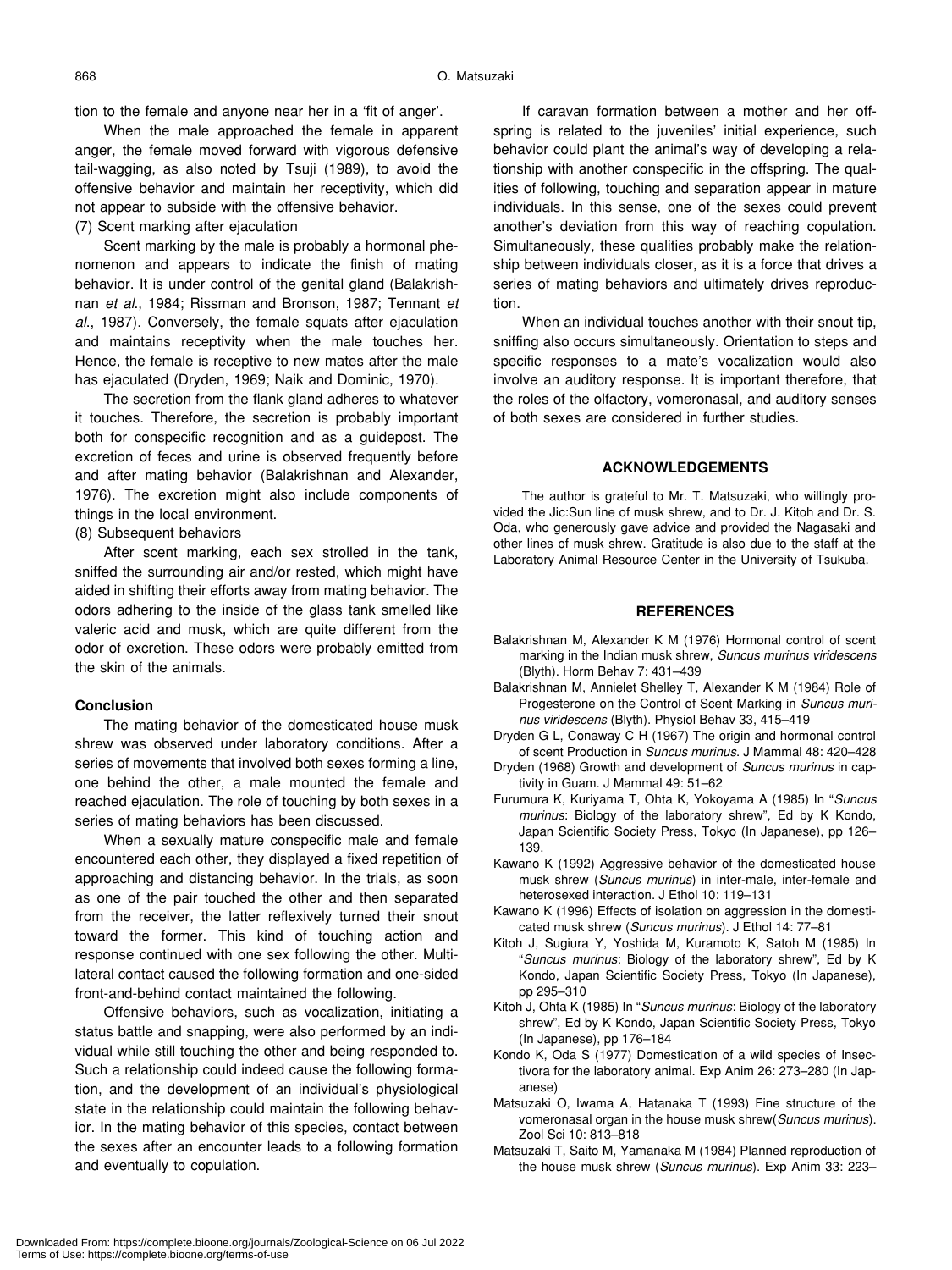tion to the female and anyone near her in a 'fit of anger'.

When the male approached the female in apparent anger, the female moved forward with vigorous defensive tail-wagging, as also noted by Tsuji (1989), to avoid the offensive behavior and maintain her receptivity, which did not appear to subside with the offensive behavior.

(7) Scent marking after ejaculation

Scent marking by the male is probably a hormonal phenomenon and appears to indicate the finish of mating behavior. It is under control of the genital gland (Balakrishnan *et al*., 1984; Rissman and Bronson, 1987; Tennant *et al*., 1987). Conversely, the female squats after ejaculation and maintains receptivity when the male touches her. Hence, the female is receptive to new mates after the male has ejaculated (Dryden, 1969; Naik and Dominic, 1970).

The secretion from the flank gland adheres to whatever it touches. Therefore, the secretion is probably important both for conspecific recognition and as a guidepost. The excretion of feces and urine is observed frequently before and after mating behavior (Balakrishnan and Alexander, 1976). The excretion might also include components of things in the local environment.

(8) Subsequent behaviors

After scent marking, each sex strolled in the tank, sniffed the surrounding air and/or rested, which might have aided in shifting their efforts away from mating behavior. The odors adhering to the inside of the glass tank smelled like valeric acid and musk, which are quite different from the odor of excretion. These odors were probably emitted from the skin of the animals.

## **Conclusion**

The mating behavior of the domesticated house musk shrew was observed under laboratory conditions. After a series of movements that involved both sexes forming a line, one behind the other, a male mounted the female and reached ejaculation. The role of touching by both sexes in a series of mating behaviors has been discussed.

When a sexually mature conspecific male and female encountered each other, they displayed a fixed repetition of approaching and distancing behavior. In the trials, as soon as one of the pair touched the other and then separated from the receiver, the latter reflexively turned their snout toward the former. This kind of touching action and response continued with one sex following the other. Multilateral contact caused the following formation and one-sided front-and-behind contact maintained the following.

Offensive behaviors, such as vocalization, initiating a status battle and snapping, were also performed by an individual while still touching the other and being responded to. Such a relationship could indeed cause the following formation, and the development of an individual's physiological state in the relationship could maintain the following behavior. In the mating behavior of this species, contact between the sexes after an encounter leads to a following formation and eventually to copulation.

If caravan formation between a mother and her offspring is related to the juveniles' initial experience, such behavior could plant the animal's way of developing a relationship with another conspecific in the offspring. The qualities of following, touching and separation appear in mature individuals. In this sense, one of the sexes could prevent another's deviation from this way of reaching copulation. Simultaneously, these qualities probably make the relationship between individuals closer, as it is a force that drives a series of mating behaviors and ultimately drives reproduction.

When an individual touches another with their snout tip, sniffing also occurs simultaneously. Orientation to steps and specific responses to a mate's vocalization would also involve an auditory response. It is important therefore, that the roles of the olfactory, vomeronasal, and auditory senses of both sexes are considered in further studies.

#### **ACKNOWLEDGEMENTS**

The author is grateful to Mr. T. Matsuzaki, who willingly provided the Jic:Sun line of musk shrew, and to Dr. J. Kitoh and Dr. S. Oda, who generously gave advice and provided the Nagasaki and other lines of musk shrew. Gratitude is also due to the staff at the Laboratory Animal Resource Center in the University of Tsukuba.

#### **REFERENCES**

- Balakrishnan M, Alexander K M (1976) Hormonal control of scent marking in the Indian musk shrew, *Suncus murinus viridescens* (Blyth). Horm Behav 7: 431–439
- Balakrishnan M, Annielet Shelley T, Alexander K M (1984) Role of Progesterone on the Control of Scent Marking in *Suncus murinus viridescens* (Blyth). Physiol Behav 33, 415–419
- Dryden G L, Conaway C H (1967) The origin and hormonal control of scent Production in *Suncus murinus*. J Mammal 48: 420–428
- Dryden (1968) Growth and development of *Suncus murinus* in captivity in Guam. J Mammal 49: 51–62
- Furumura K, Kuriyama T, Ohta K, Yokoyama A (1985) In "*Suncus murinus*: Biology of the laboratory shrew", Ed by K Kondo, Japan Scientific Society Press, Tokyo (In Japanese), pp 126– 139.
- Kawano K (1992) Aggressive behavior of the domesticated house musk shrew (*Suncus murinus*) in inter-male, inter-female and heterosexed interaction. J Ethol 10: 119–131
- Kawano K (1996) Effects of isolation on aggression in the domesticated musk shrew (*Suncus murinus*). J Ethol 14: 77–81
- Kitoh J, Sugiura Y, Yoshida M, Kuramoto K, Satoh M (1985) In "*Suncus murinus*: Biology of the laboratory shrew", Ed by K Kondo, Japan Scientific Society Press, Tokyo (In Japanese), pp 295–310
- Kitoh J, Ohta K (1985) In "*Suncus murinus*: Biology of the laboratory shrew", Ed by K Kondo, Japan Scientific Society Press, Tokyo (In Japanese), pp 176–184
- Kondo K, Oda S (1977) Domestication of a wild species of Insectivora for the laboratory animal. Exp Anim 26: 273–280 (In Japanese)
- Matsuzaki O, Iwama A, Hatanaka T (1993) Fine structure of the vomeronasal organ in the house musk shrew(*Suncus murinus*). Zool Sci 10: 813–818
- Matsuzaki T, Saito M, Yamanaka M (1984) Planned reproduction of the house musk shrew (*Suncus murinus*). Exp Anim 33: 223–